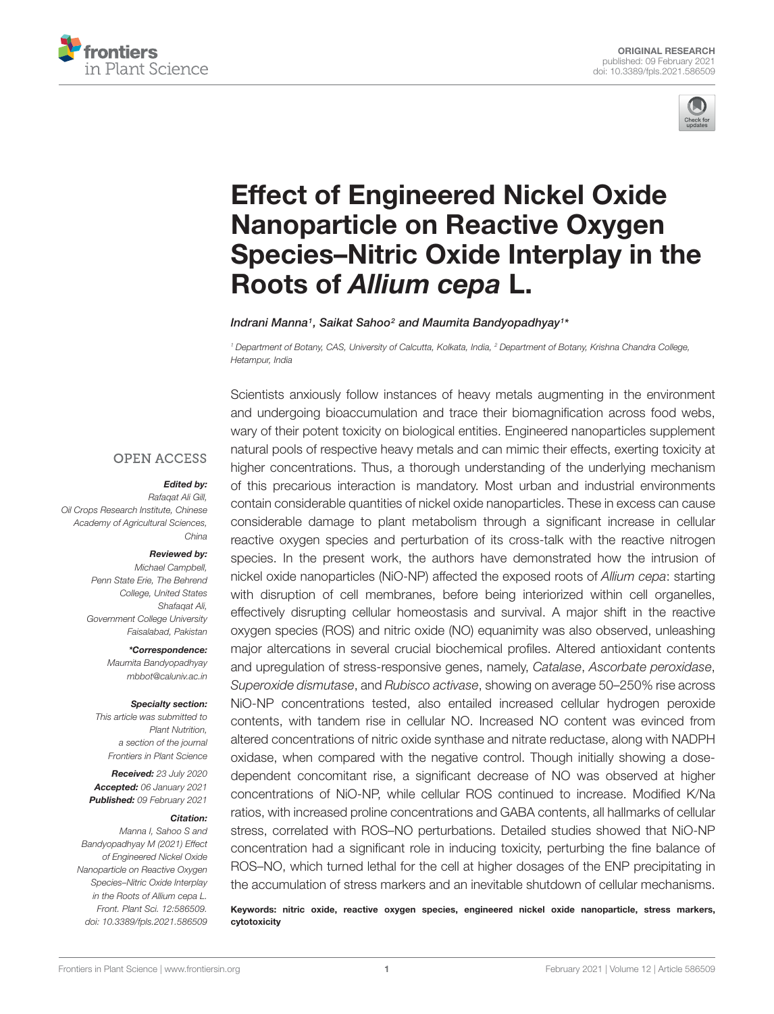



# Effect of Engineered Nickel Oxide Nanoparticle on Reactive Oxygen Species–Nitric Oxide Interplay in the Roots of *Allium cepa* L.

Indrani Manna<sup>1</sup> , Saikat Sahoo<sup>2</sup> and Maumita Bandyopadhyay<sup>1</sup> \*

*<sup>1</sup> Department of Botany, CAS, University of Calcutta, Kolkata, India, <sup>2</sup> Department of Botany, Krishna Chandra College, Hetampur, India*

#### **OPEN ACCESS**

#### *Edited by:*

*Rafaqat Ali Gill, Oil Crops Research Institute, Chinese Academy of Agricultural Sciences, China*

#### *Reviewed by:*

*Michael Campbell, Penn State Erie, The Behrend College, United States Shafaqat Ali, Government College University Faisalabad, Pakistan*

> *\*Correspondence: Maumita Bandyopadhyay mbbot@caluniv.ac.in*

#### *Specialty section:*

*This article was submitted to Plant Nutrition, a section of the journal Frontiers in Plant Science*

*Received: 23 July 2020 Accepted: 06 January 2021 Published: 09 February 2021*

#### *Citation:*

*Manna I, Sahoo S and Bandyopadhyay M (2021) Effect of Engineered Nickel Oxide Nanoparticle on Reactive Oxygen Species–Nitric Oxide Interplay in the Roots of Allium cepa L. Front. Plant Sci. 12:586509. doi: 10.3389/fpls.2021.586509*

Scientists anxiously follow instances of heavy metals augmenting in the environment and undergoing bioaccumulation and trace their biomagnification across food webs, wary of their potent toxicity on biological entities. Engineered nanoparticles supplement natural pools of respective heavy metals and can mimic their effects, exerting toxicity at higher concentrations. Thus, a thorough understanding of the underlying mechanism of this precarious interaction is mandatory. Most urban and industrial environments contain considerable quantities of nickel oxide nanoparticles. These in excess can cause considerable damage to plant metabolism through a significant increase in cellular reactive oxygen species and perturbation of its cross-talk with the reactive nitrogen species. In the present work, the authors have demonstrated how the intrusion of nickel oxide nanoparticles (NiO-NP) affected the exposed roots of *Allium cepa*: starting with disruption of cell membranes, before being interiorized within cell organelles, effectively disrupting cellular homeostasis and survival. A major shift in the reactive oxygen species (ROS) and nitric oxide (NO) equanimity was also observed, unleashing major altercations in several crucial biochemical profiles. Altered antioxidant contents and upregulation of stress-responsive genes, namely, *Catalase*, *Ascorbate peroxidase*, *Superoxide dismutase*, and *Rubisco activase*, showing on average 50–250% rise across NiO-NP concentrations tested, also entailed increased cellular hydrogen peroxide contents, with tandem rise in cellular NO. Increased NO content was evinced from altered concentrations of nitric oxide synthase and nitrate reductase, along with NADPH oxidase, when compared with the negative control. Though initially showing a dosedependent concomitant rise, a significant decrease of NO was observed at higher concentrations of NiO-NP, while cellular ROS continued to increase. Modified K/Na ratios, with increased proline concentrations and GABA contents, all hallmarks of cellular stress, correlated with ROS–NO perturbations. Detailed studies showed that NiO-NP concentration had a significant role in inducing toxicity, perturbing the fine balance of ROS–NO, which turned lethal for the cell at higher dosages of the ENP precipitating in the accumulation of stress markers and an inevitable shutdown of cellular mechanisms.

Keywords: nitric oxide, reactive oxygen species, engineered nickel oxide nanoparticle, stress markers, cytotoxicity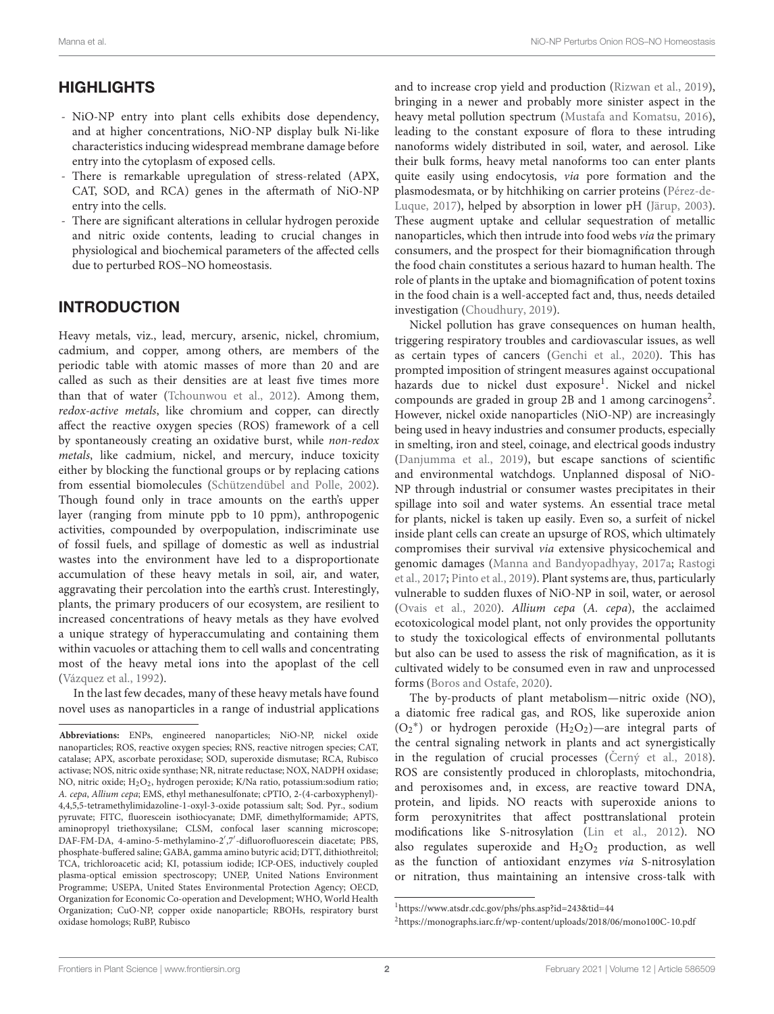# **HIGHLIGHTS**

- NiO-NP entry into plant cells exhibits dose dependency, and at higher concentrations, NiO-NP display bulk Ni-like characteristics inducing widespread membrane damage before entry into the cytoplasm of exposed cells.
- There is remarkable upregulation of stress-related (APX, CAT, SOD, and RCA) genes in the aftermath of NiO-NP entry into the cells.
- There are significant alterations in cellular hydrogen peroxide and nitric oxide contents, leading to crucial changes in physiological and biochemical parameters of the affected cells due to perturbed ROS–NO homeostasis.

## INTRODUCTION

Heavy metals, viz., lead, mercury, arsenic, nickel, chromium, cadmium, and copper, among others, are members of the periodic table with atomic masses of more than 20 and are called as such as their densities are at least five times more than that of water (Tchounwou et al., 2012). Among them, redox-active metals, like chromium and copper, can directly affect the reactive oxygen species (ROS) framework of a cell by spontaneously creating an oxidative burst, while non-redox metals, like cadmium, nickel, and mercury, induce toxicity either by blocking the functional groups or by replacing cations from essential biomolecules (Schützendübel and Polle, 2002). Though found only in trace amounts on the earth's upper layer (ranging from minute ppb to 10 ppm), anthropogenic activities, compounded by overpopulation, indiscriminate use of fossil fuels, and spillage of domestic as well as industrial wastes into the environment have led to a disproportionate accumulation of these heavy metals in soil, air, and water, aggravating their percolation into the earth's crust. Interestingly, plants, the primary producers of our ecosystem, are resilient to increased concentrations of heavy metals as they have evolved a unique strategy of hyperaccumulating and containing them within vacuoles or attaching them to cell walls and concentrating most of the heavy metal ions into the apoplast of the cell (Vázquez et al., 1992).

In the last few decades, many of these heavy metals have found novel uses as nanoparticles in a range of industrial applications and to increase crop yield and production (Rizwan et al., 2019), bringing in a newer and probably more sinister aspect in the heavy metal pollution spectrum (Mustafa and Komatsu, 2016), leading to the constant exposure of flora to these intruding nanoforms widely distributed in soil, water, and aerosol. Like their bulk forms, heavy metal nanoforms too can enter plants quite easily using endocytosis, via pore formation and the plasmodesmata, or by hitchhiking on carrier proteins (Pérez-de-Luque, 2017), helped by absorption in lower pH (Järup, 2003). These augment uptake and cellular sequestration of metallic nanoparticles, which then intrude into food webs via the primary consumers, and the prospect for their biomagnification through the food chain constitutes a serious hazard to human health. The role of plants in the uptake and biomagnification of potent toxins in the food chain is a well-accepted fact and, thus, needs detailed investigation (Choudhury, 2019).

Nickel pollution has grave consequences on human health, triggering respiratory troubles and cardiovascular issues, as well as certain types of cancers (Genchi et al., 2020). This has prompted imposition of stringent measures against occupational hazards due to nickel dust exposure<sup>1</sup>. Nickel and nickel compounds are graded in group 2B and 1 among carcinogens<sup>2</sup>. However, nickel oxide nanoparticles (NiO-NP) are increasingly being used in heavy industries and consumer products, especially in smelting, iron and steel, coinage, and electrical goods industry (Danjumma et al., 2019), but escape sanctions of scientific and environmental watchdogs. Unplanned disposal of NiO-NP through industrial or consumer wastes precipitates in their spillage into soil and water systems. An essential trace metal for plants, nickel is taken up easily. Even so, a surfeit of nickel inside plant cells can create an upsurge of ROS, which ultimately compromises their survival via extensive physicochemical and genomic damages (Manna and Bandyopadhyay, 2017a; Rastogi et al., 2017; Pinto et al., 2019). Plant systems are, thus, particularly vulnerable to sudden fluxes of NiO-NP in soil, water, or aerosol (Ovais et al., 2020). Allium cepa (A. cepa), the acclaimed ecotoxicological model plant, not only provides the opportunity to study the toxicological effects of environmental pollutants but also can be used to assess the risk of magnification, as it is cultivated widely to be consumed even in raw and unprocessed forms (Boros and Ostafe, 2020).

The by-products of plant metabolism—nitric oxide (NO), a diatomic free radical gas, and ROS, like superoxide anion (O<sup>2</sup> ∗ ) or hydrogen peroxide (H2O2)—are integral parts of the central signaling network in plants and act synergistically in the regulation of crucial processes ( $Cern\acute{y}$  et al., 2018). ROS are consistently produced in chloroplasts, mitochondria, and peroxisomes and, in excess, are reactive toward DNA, protein, and lipids. NO reacts with superoxide anions to form peroxynitrites that affect posttranslational protein modifications like S-nitrosylation (Lin et al., 2012). NO also regulates superoxide and  $H_2O_2$  production, as well as the function of antioxidant enzymes via S-nitrosylation or nitration, thus maintaining an intensive cross-talk with

**Abbreviations:** ENPs, engineered nanoparticles; NiO-NP, nickel oxide nanoparticles; ROS, reactive oxygen species; RNS, reactive nitrogen species; CAT, catalase; APX, ascorbate peroxidase; SOD, superoxide dismutase; RCA, Rubisco activase; NOS, nitric oxide synthase; NR, nitrate reductase; NOX, NADPH oxidase; NO, nitric oxide; H2O2, hydrogen peroxide; K/Na ratio, potassium:sodium ratio; A. cepa, Allium cepa; EMS, ethyl methanesulfonate; cPTIO, 2-(4-carboxyphenyl)- 4,4,5,5-tetramethylimidazoline-1-oxyl-3-oxide potassium salt; Sod. Pyr., sodium pyruvate; FITC, fluorescein isothiocyanate; DMF, dimethylformamide; APTS, aminopropyl triethoxysilane; CLSM, confocal laser scanning microscope; DAF-FM-DA, 4-amino-5-methylamino-2′ ,7′ -difluorofluorescein diacetate; PBS, phosphate-buffered saline; GABA, gamma amino butyric acid; DTT, dithiothreitol; TCA, trichloroacetic acid; KI, potassium iodide; ICP-OES, inductively coupled plasma-optical emission spectroscopy; UNEP, United Nations Environment Programme; USEPA, United States Environmental Protection Agency; OECD, Organization for Economic Co-operation and Development; WHO, World Health Organization; CuO-NP, copper oxide nanoparticle; RBOHs, respiratory burst oxidase homologs; RuBP, Rubisco

<sup>1</sup>https://www.atsdr.cdc.gov/phs/phs.asp?id=243&tid=44

<sup>2</sup>https://monographs.iarc.fr/wp-content/uploads/2018/06/mono100C-10.pdf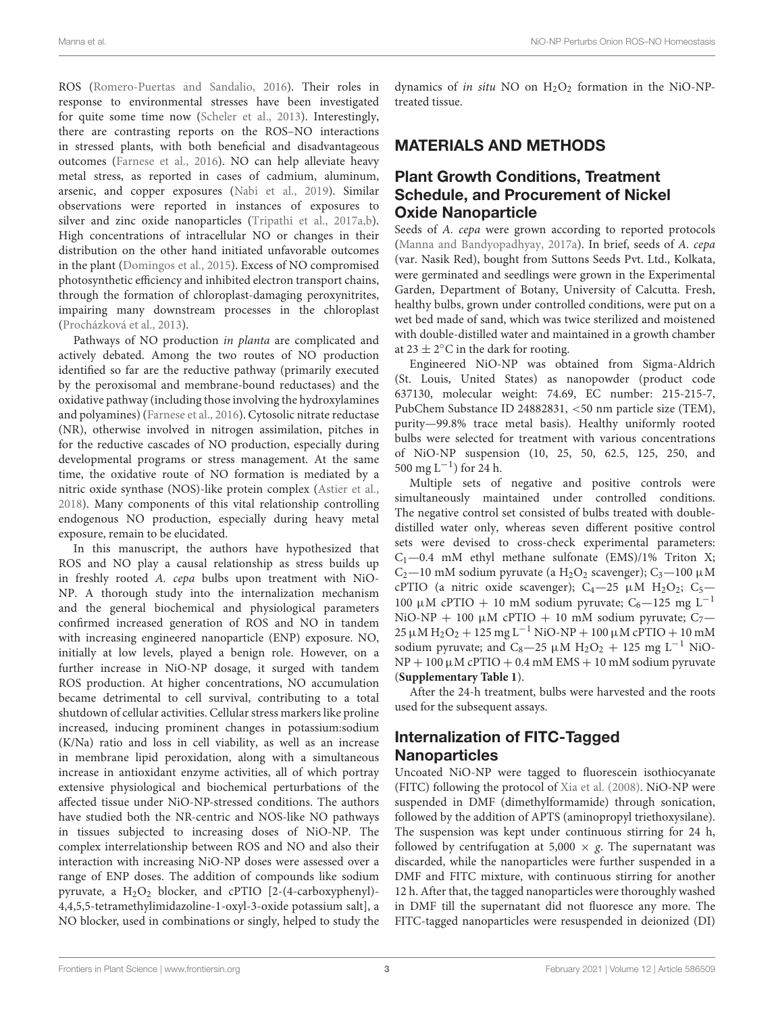ROS (Romero-Puertas and Sandalio, 2016). Their roles in response to environmental stresses have been investigated for quite some time now (Scheler et al., 2013). Interestingly, there are contrasting reports on the ROS–NO interactions in stressed plants, with both beneficial and disadvantageous outcomes (Farnese et al., 2016). NO can help alleviate heavy metal stress, as reported in cases of cadmium, aluminum, arsenic, and copper exposures (Nabi et al., 2019). Similar observations were reported in instances of exposures to silver and zinc oxide nanoparticles (Tripathi et al., 2017a,b). High concentrations of intracellular NO or changes in their distribution on the other hand initiated unfavorable outcomes in the plant (Domingos et al., 2015). Excess of NO compromised photosynthetic efficiency and inhibited electron transport chains, through the formation of chloroplast-damaging peroxynitrites, impairing many downstream processes in the chloroplast (Procházková et al., 2013).

Pathways of NO production in planta are complicated and actively debated. Among the two routes of NO production identified so far are the reductive pathway (primarily executed by the peroxisomal and membrane-bound reductases) and the oxidative pathway (including those involving the hydroxylamines and polyamines) (Farnese et al., 2016). Cytosolic nitrate reductase (NR), otherwise involved in nitrogen assimilation, pitches in for the reductive cascades of NO production, especially during developmental programs or stress management. At the same time, the oxidative route of NO formation is mediated by a nitric oxide synthase (NOS)-like protein complex (Astier et al., 2018). Many components of this vital relationship controlling endogenous NO production, especially during heavy metal exposure, remain to be elucidated.

In this manuscript, the authors have hypothesized that ROS and NO play a causal relationship as stress builds up in freshly rooted A. cepa bulbs upon treatment with NiO-NP. A thorough study into the internalization mechanism and the general biochemical and physiological parameters confirmed increased generation of ROS and NO in tandem with increasing engineered nanoparticle (ENP) exposure. NO, initially at low levels, played a benign role. However, on a further increase in NiO-NP dosage, it surged with tandem ROS production. At higher concentrations, NO accumulation became detrimental to cell survival, contributing to a total shutdown of cellular activities. Cellular stress markers like proline increased, inducing prominent changes in potassium:sodium (K/Na) ratio and loss in cell viability, as well as an increase in membrane lipid peroxidation, along with a simultaneous increase in antioxidant enzyme activities, all of which portray extensive physiological and biochemical perturbations of the affected tissue under NiO-NP-stressed conditions. The authors have studied both the NR-centric and NOS-like NO pathways in tissues subjected to increasing doses of NiO-NP. The complex interrelationship between ROS and NO and also their interaction with increasing NiO-NP doses were assessed over a range of ENP doses. The addition of compounds like sodium pyruvate, a  $H_2O_2$  blocker, and cPTIO [2-(4-carboxyphenyl)-4,4,5,5-tetramethylimidazoline-1-oxyl-3-oxide potassium salt], a NO blocker, used in combinations or singly, helped to study the dynamics of in situ NO on  $H_2O_2$  formation in the NiO-NPtreated tissue.

#### MATERIALS AND METHODS

#### Plant Growth Conditions, Treatment Schedule, and Procurement of Nickel Oxide Nanoparticle

Seeds of A. cepa were grown according to reported protocols (Manna and Bandyopadhyay, 2017a). In brief, seeds of A. cepa (var. Nasik Red), bought from Suttons Seeds Pvt. Ltd., Kolkata, were germinated and seedlings were grown in the Experimental Garden, Department of Botany, University of Calcutta. Fresh, healthy bulbs, grown under controlled conditions, were put on a wet bed made of sand, which was twice sterilized and moistened with double-distilled water and maintained in a growth chamber at  $23 \pm 2^{\circ}$ C in the dark for rooting.

Engineered NiO-NP was obtained from Sigma-Aldrich (St. Louis, United States) as nanopowder (product code 637130, molecular weight: 74.69, EC number: 215-215-7, PubChem Substance ID 24882831, <50 nm particle size (TEM), purity—99.8% trace metal basis). Healthy uniformly rooted bulbs were selected for treatment with various concentrations of NiO-NP suspension (10, 25, 50, 62.5, 125, 250, and 500 mg L−<sup>1</sup> ) for 24 h.

Multiple sets of negative and positive controls were simultaneously maintained under controlled conditions. The negative control set consisted of bulbs treated with doubledistilled water only, whereas seven different positive control sets were devised to cross-check experimental parameters:  $C_1$ —0.4 mM ethyl methane sulfonate (EMS)/1% Triton X;  $C_2$ —10 mM sodium pyruvate (a H<sub>2</sub>O<sub>2</sub> scavenger); C<sub>3</sub>—100 µM cPTIO (a nitric oxide scavenger);  $C_4-25 \mu M H_2O_2$ ;  $C_5-$ 100 μM cPTIO + 10 mM sodium pyruvate; C<sub>6</sub>—125 mg L<sup>-1</sup> NiO-NP + 100  $\mu$ M cPTIO + 10 mM sodium pyruvate; C<sub>7</sub>-25 μM H<sub>2</sub>O<sub>2</sub> + 125 mg L<sup>-1</sup> NiO-NP + 100 μM cPTIO + 10 mM sodium pyruvate; and C<sub>8</sub>—25 µM H<sub>2</sub>O<sub>2</sub> + 125 mg L<sup>-1</sup> NiO- $NP + 100 \mu M$  cPTIO + 0.4 mM EMS + 10 mM sodium pyruvate (**Supplementary Table 1**).

After the 24-h treatment, bulbs were harvested and the roots used for the subsequent assays.

## Internalization of FITC-Tagged **Nanoparticles**

Uncoated NiO-NP were tagged to fluorescein isothiocyanate (FITC) following the protocol of Xia et al. (2008). NiO-NP were suspended in DMF (dimethylformamide) through sonication, followed by the addition of APTS (aminopropyl triethoxysilane). The suspension was kept under continuous stirring for 24 h, followed by centrifugation at 5,000  $\times$  g. The supernatant was discarded, while the nanoparticles were further suspended in a DMF and FITC mixture, with continuous stirring for another 12 h. After that, the tagged nanoparticles were thoroughly washed in DMF till the supernatant did not fluoresce any more. The FITC-tagged nanoparticles were resuspended in deionized (DI)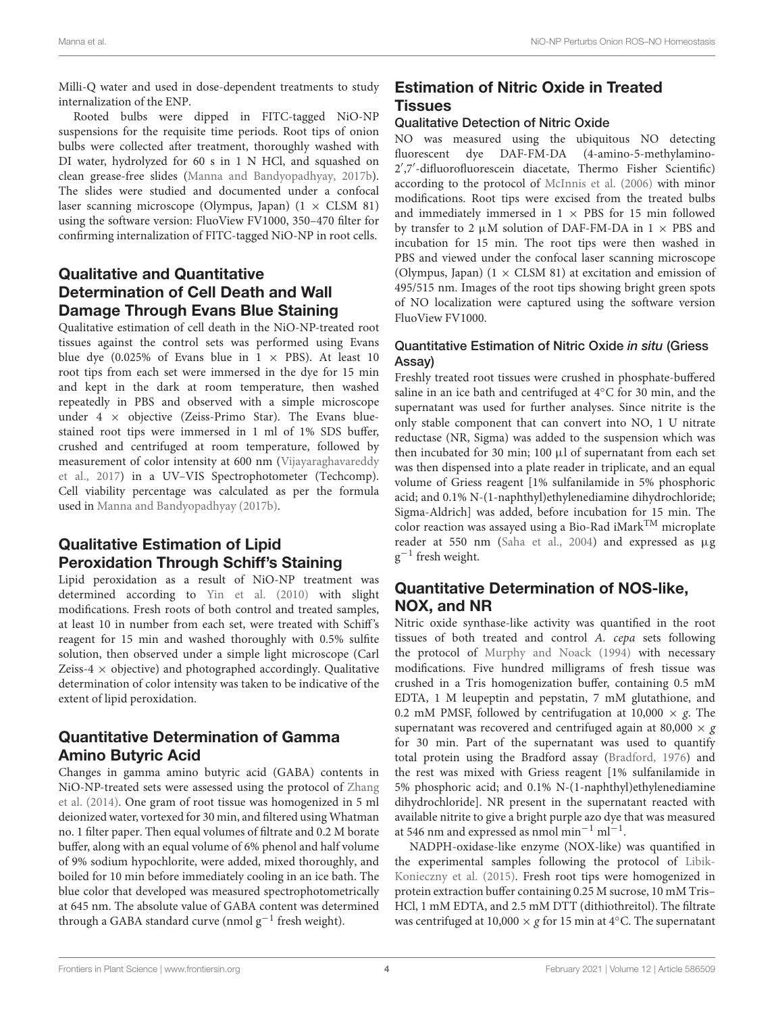Milli-Q water and used in dose-dependent treatments to study internalization of the ENP.

Rooted bulbs were dipped in FITC-tagged NiO-NP suspensions for the requisite time periods. Root tips of onion bulbs were collected after treatment, thoroughly washed with DI water, hydrolyzed for 60 s in 1 N HCl, and squashed on clean grease-free slides (Manna and Bandyopadhyay, 2017b). The slides were studied and documented under a confocal laser scanning microscope (Olympus, Japan)  $(1 \times CLSM 81)$ using the software version: FluoView FV1000, 350–470 filter for confirming internalization of FITC-tagged NiO-NP in root cells.

# Qualitative and Quantitative Determination of Cell Death and Wall Damage Through Evans Blue Staining

Qualitative estimation of cell death in the NiO-NP-treated root tissues against the control sets was performed using Evans blue dye (0.025% of Evans blue in  $1 \times$  PBS). At least 10 root tips from each set were immersed in the dye for 15 min and kept in the dark at room temperature, then washed repeatedly in PBS and observed with a simple microscope under  $4 \times$  objective (Zeiss-Primo Star). The Evans bluestained root tips were immersed in 1 ml of 1% SDS buffer, crushed and centrifuged at room temperature, followed by measurement of color intensity at 600 nm (Vijayaraghavareddy et al., 2017) in a UV–VIS Spectrophotometer (Techcomp). Cell viability percentage was calculated as per the formula used in Manna and Bandyopadhyay (2017b).

# Qualitative Estimation of Lipid Peroxidation Through Schiff's Staining

Lipid peroxidation as a result of NiO-NP treatment was determined according to Yin et al. (2010) with slight modifications. Fresh roots of both control and treated samples, at least 10 in number from each set, were treated with Schiff's reagent for 15 min and washed thoroughly with 0.5% sulfite solution, then observed under a simple light microscope (Carl Zeiss-4  $\times$  objective) and photographed accordingly. Qualitative determination of color intensity was taken to be indicative of the extent of lipid peroxidation.

#### Quantitative Determination of Gamma Amino Butyric Acid

Changes in gamma amino butyric acid (GABA) contents in NiO-NP-treated sets were assessed using the protocol of Zhang et al. (2014). One gram of root tissue was homogenized in 5 ml deionized water, vortexed for 30 min, and filtered using Whatman no. 1 filter paper. Then equal volumes of filtrate and 0.2 M borate buffer, along with an equal volume of 6% phenol and half volume of 9% sodium hypochlorite, were added, mixed thoroughly, and boiled for 10 min before immediately cooling in an ice bath. The blue color that developed was measured spectrophotometrically at 645 nm. The absolute value of GABA content was determined through a GABA standard curve (nmol  $g^{-1}$  fresh weight).

# Estimation of Nitric Oxide in Treated Tissues

#### Qualitative Detection of Nitric Oxide

NO was measured using the ubiquitous NO detecting fluorescent dye DAF-FM-DA (4-amino-5-methylamino-2 ′ ,7′ -difluorofluorescein diacetate, Thermo Fisher Scientific) according to the protocol of McInnis et al. (2006) with minor modifications. Root tips were excised from the treated bulbs and immediately immersed in  $1 \times PBS$  for 15 min followed by transfer to 2  $\mu$ M solution of DAF-FM-DA in 1  $\times$  PBS and incubation for 15 min. The root tips were then washed in PBS and viewed under the confocal laser scanning microscope (Olympus, Japan)  $(1 \times$  CLSM 81) at excitation and emission of 495/515 nm. Images of the root tips showing bright green spots of NO localization were captured using the software version FluoView FV1000.

#### Quantitative Estimation of Nitric Oxide in situ (Griess Assay)

Freshly treated root tissues were crushed in phosphate-buffered saline in an ice bath and centrifuged at 4◦C for 30 min, and the supernatant was used for further analyses. Since nitrite is the only stable component that can convert into NO, 1 U nitrate reductase (NR, Sigma) was added to the suspension which was then incubated for 30 min; 100 µl of supernatant from each set was then dispensed into a plate reader in triplicate, and an equal volume of Griess reagent [1% sulfanilamide in 5% phosphoric acid; and 0.1% N-(1-naphthyl)ethylenediamine dihydrochloride; Sigma-Aldrich] was added, before incubation for 15 min. The color reaction was assayed using a Bio-Rad iMarkTM microplate reader at 550 nm (Saha et al., 2004) and expressed as µg  $g^{-1}$  fresh weight.

## Quantitative Determination of NOS-like, NOX, and NR

Nitric oxide synthase-like activity was quantified in the root tissues of both treated and control A. cepa sets following the protocol of Murphy and Noack (1994) with necessary modifications. Five hundred milligrams of fresh tissue was crushed in a Tris homogenization buffer, containing 0.5 mM EDTA, 1 M leupeptin and pepstatin, 7 mM glutathione, and 0.2 mM PMSF, followed by centrifugation at 10,000  $\times$  g. The supernatant was recovered and centrifuged again at 80,000  $\times$  g for 30 min. Part of the supernatant was used to quantify total protein using the Bradford assay (Bradford, 1976) and the rest was mixed with Griess reagent [1% sulfanilamide in 5% phosphoric acid; and 0.1% N-(1-naphthyl)ethylenediamine dihydrochloride]. NR present in the supernatant reacted with available nitrite to give a bright purple azo dye that was measured at 546 nm and expressed as nmol min−<sup>1</sup> ml−<sup>1</sup> .

NADPH-oxidase-like enzyme (NOX-like) was quantified in the experimental samples following the protocol of Libik-Konieczny et al. (2015). Fresh root tips were homogenized in protein extraction buffer containing 0.25 M sucrose, 10 mM Tris– HCl, 1 mM EDTA, and 2.5 mM DTT (dithiothreitol). The filtrate was centrifuged at 10,000  $\times$  g for 15 min at 4 $°C$ . The supernatant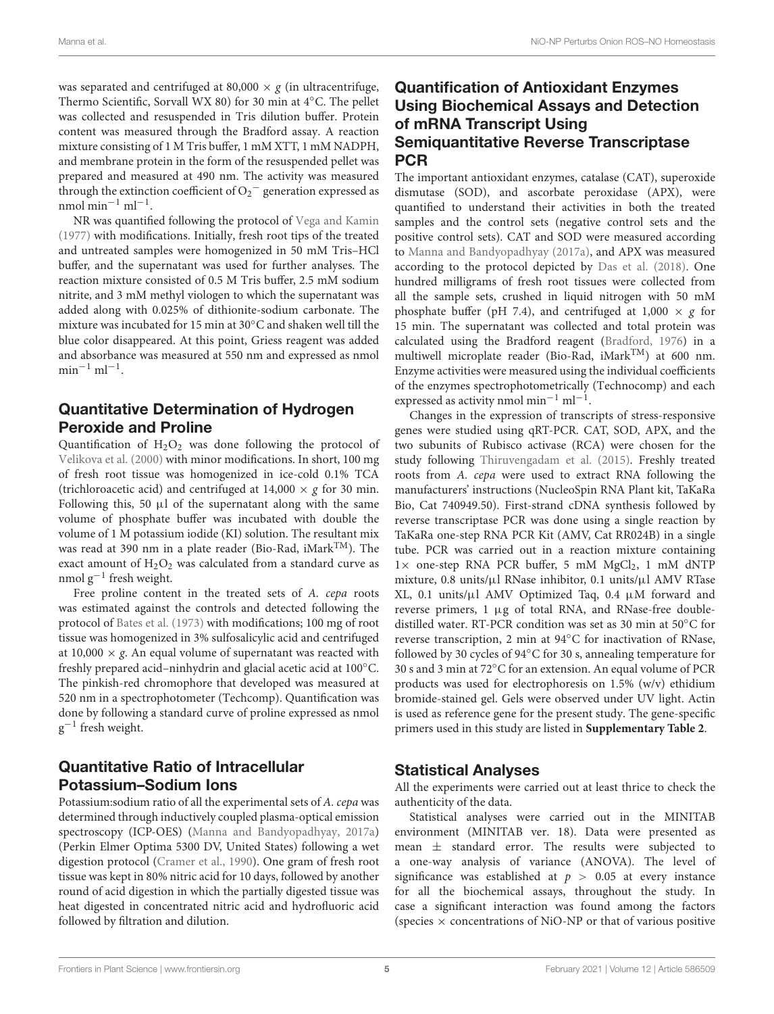was separated and centrifuged at 80,000  $\times$  g (in ultracentrifuge, Thermo Scientific, Sorvall WX 80) for 30 min at 4◦C. The pellet was collected and resuspended in Tris dilution buffer. Protein content was measured through the Bradford assay. A reaction mixture consisting of 1 M Tris buffer, 1 mM XTT, 1 mM NADPH, and membrane protein in the form of the resuspended pellet was prepared and measured at 490 nm. The activity was measured through the extinction coefficient of  $O_2^-$  generation expressed as  $n$ mol min<sup>-1</sup> ml<sup>-1</sup>.

NR was quantified following the protocol of Vega and Kamin (1977) with modifications. Initially, fresh root tips of the treated and untreated samples were homogenized in 50 mM Tris–HCl buffer, and the supernatant was used for further analyses. The reaction mixture consisted of 0.5 M Tris buffer, 2.5 mM sodium nitrite, and 3 mM methyl viologen to which the supernatant was added along with 0.025% of dithionite-sodium carbonate. The mixture was incubated for 15 min at 30◦C and shaken well till the blue color disappeared. At this point, Griess reagent was added and absorbance was measured at 550 nm and expressed as nmol  $\text{min}^{-1} \text{ ml}^{-1}$ .

## Quantitative Determination of Hydrogen Peroxide and Proline

Quantification of  $H_2O_2$  was done following the protocol of Velikova et al. (2000) with minor modifications. In short, 100 mg of fresh root tissue was homogenized in ice-cold 0.1% TCA (trichloroacetic acid) and centrifuged at  $14,000 \times g$  for 30 min. Following this, 50  $\mu$ l of the supernatant along with the same volume of phosphate buffer was incubated with double the volume of 1 M potassium iodide (KI) solution. The resultant mix was read at 390 nm in a plate reader (Bio-Rad, iMarkTM). The exact amount of  $H_2O_2$  was calculated from a standard curve as nmol g<sup>-1</sup> fresh weight.

Free proline content in the treated sets of A. cepa roots was estimated against the controls and detected following the protocol of Bates et al. (1973) with modifications; 100 mg of root tissue was homogenized in 3% sulfosalicylic acid and centrifuged at 10,000  $\times$  g. An equal volume of supernatant was reacted with freshly prepared acid–ninhydrin and glacial acetic acid at 100◦C. The pinkish-red chromophore that developed was measured at 520 nm in a spectrophotometer (Techcomp). Quantification was done by following a standard curve of proline expressed as nmol  $g^{-1}$  fresh weight.

## Quantitative Ratio of Intracellular Potassium–Sodium Ions

Potassium:sodium ratio of all the experimental sets of A. cepa was determined through inductively coupled plasma-optical emission spectroscopy (ICP-OES) (Manna and Bandyopadhyay, 2017a) (Perkin Elmer Optima 5300 DV, United States) following a wet digestion protocol (Cramer et al., 1990). One gram of fresh root tissue was kept in 80% nitric acid for 10 days, followed by another round of acid digestion in which the partially digested tissue was heat digested in concentrated nitric acid and hydrofluoric acid followed by filtration and dilution.

## Quantification of Antioxidant Enzymes Using Biochemical Assays and Detection of mRNA Transcript Using Semiquantitative Reverse Transcriptase **PCR**

The important antioxidant enzymes, catalase (CAT), superoxide dismutase (SOD), and ascorbate peroxidase (APX), were quantified to understand their activities in both the treated samples and the control sets (negative control sets and the positive control sets). CAT and SOD were measured according to Manna and Bandyopadhyay (2017a), and APX was measured according to the protocol depicted by Das et al. (2018). One hundred milligrams of fresh root tissues were collected from all the sample sets, crushed in liquid nitrogen with 50 mM phosphate buffer (pH 7.4), and centrifuged at  $1,000 \times g$  for 15 min. The supernatant was collected and total protein was calculated using the Bradford reagent (Bradford, 1976) in a multiwell microplate reader (Bio-Rad, iMarkTM) at 600 nm. Enzyme activities were measured using the individual coefficients of the enzymes spectrophotometrically (Technocomp) and each expressed as activity nmol min<sup>-1</sup> ml<sup>-1</sup>.

Changes in the expression of transcripts of stress-responsive genes were studied using qRT-PCR. CAT, SOD, APX, and the two subunits of Rubisco activase (RCA) were chosen for the study following Thiruvengadam et al. (2015). Freshly treated roots from A. cepa were used to extract RNA following the manufacturers' instructions (NucleoSpin RNA Plant kit, TaKaRa Bio, Cat 740949.50). First-strand cDNA synthesis followed by reverse transcriptase PCR was done using a single reaction by TaKaRa one-step RNA PCR Kit (AMV, Cat RR024B) in a single tube. PCR was carried out in a reaction mixture containing  $1 \times$  one-step RNA PCR buffer, 5 mM MgCl<sub>2</sub>, 1 mM dNTP mixture, 0.8 units/µl RNase inhibitor, 0.1 units/µl AMV RTase XL, 0.1 units/µl AMV Optimized Taq, 0.4 µM forward and reverse primers, 1 µg of total RNA, and RNase-free doubledistilled water. RT-PCR condition was set as 30 min at 50◦C for reverse transcription, 2 min at 94◦C for inactivation of RNase, followed by 30 cycles of 94◦C for 30 s, annealing temperature for 30 s and 3 min at 72◦C for an extension. An equal volume of PCR products was used for electrophoresis on 1.5% (w/v) ethidium bromide-stained gel. Gels were observed under UV light. Actin is used as reference gene for the present study. The gene-specific primers used in this study are listed in **Supplementary Table 2**.

## Statistical Analyses

All the experiments were carried out at least thrice to check the authenticity of the data.

Statistical analyses were carried out in the MINITAB environment (MINITAB ver. 18). Data were presented as mean  $\pm$  standard error. The results were subjected to a one-way analysis of variance (ANOVA). The level of significance was established at  $p > 0.05$  at every instance for all the biochemical assays, throughout the study. In case a significant interaction was found among the factors (species  $\times$  concentrations of NiO-NP or that of various positive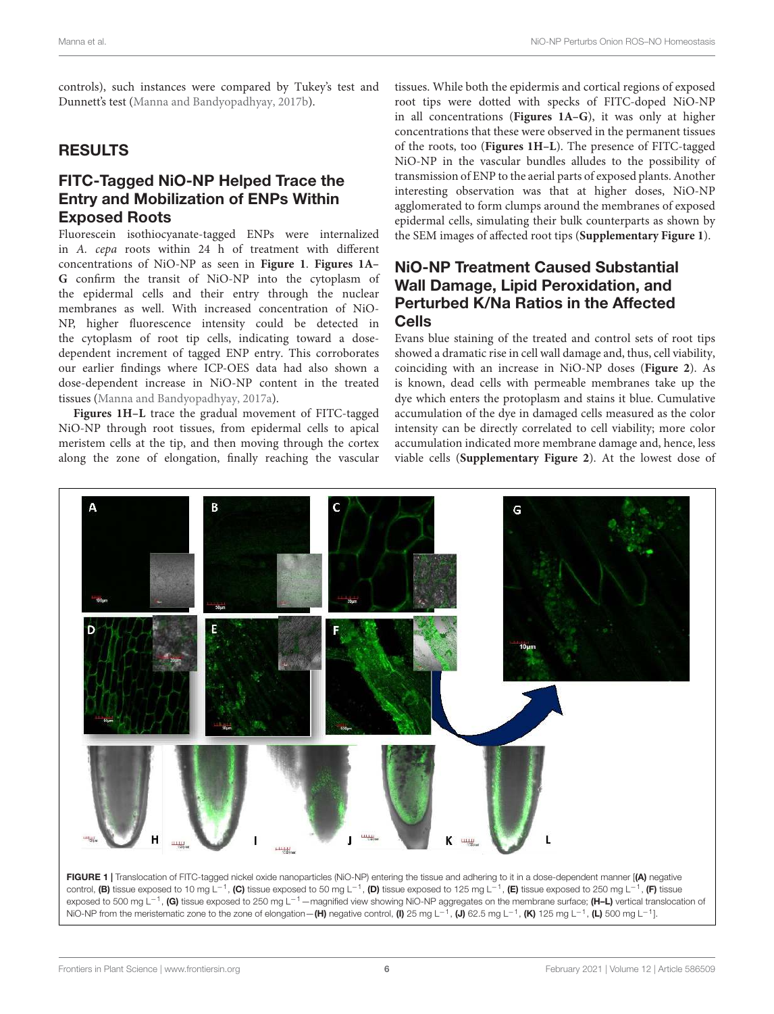controls), such instances were compared by Tukey's test and Dunnett's test (Manna and Bandyopadhyay, 2017b).

#### RESULTS

### FITC-Tagged NiO-NP Helped Trace the Entry and Mobilization of ENPs Within Exposed Roots

Fluorescein isothiocyanate-tagged ENPs were internalized in A. cepa roots within 24 h of treatment with different concentrations of NiO-NP as seen in **Figure 1**. **Figures 1A– G** confirm the transit of NiO-NP into the cytoplasm of the epidermal cells and their entry through the nuclear membranes as well. With increased concentration of NiO-NP, higher fluorescence intensity could be detected in the cytoplasm of root tip cells, indicating toward a dosedependent increment of tagged ENP entry. This corroborates our earlier findings where ICP-OES data had also shown a dose-dependent increase in NiO-NP content in the treated tissues (Manna and Bandyopadhyay, 2017a).

**Figures 1H–L** trace the gradual movement of FITC-tagged NiO-NP through root tissues, from epidermal cells to apical meristem cells at the tip, and then moving through the cortex along the zone of elongation, finally reaching the vascular

tissues. While both the epidermis and cortical regions of exposed root tips were dotted with specks of FITC-doped NiO-NP in all concentrations (**Figures 1A–G**), it was only at higher concentrations that these were observed in the permanent tissues of the roots, too (**Figures 1H–L**). The presence of FITC-tagged NiO-NP in the vascular bundles alludes to the possibility of transmission of ENP to the aerial parts of exposed plants. Another interesting observation was that at higher doses, NiO-NP agglomerated to form clumps around the membranes of exposed epidermal cells, simulating their bulk counterparts as shown by the SEM images of affected root tips (**Supplementary Figure 1**).

## NiO-NP Treatment Caused Substantial Wall Damage, Lipid Peroxidation, and Perturbed K/Na Ratios in the Affected Cells

Evans blue staining of the treated and control sets of root tips showed a dramatic rise in cell wall damage and, thus, cell viability, coinciding with an increase in NiO-NP doses (**Figure 2**). As is known, dead cells with permeable membranes take up the dye which enters the protoplasm and stains it blue. Cumulative accumulation of the dye in damaged cells measured as the color intensity can be directly correlated to cell viability; more color accumulation indicated more membrane damage and, hence, less viable cells (**Supplementary Figure 2**). At the lowest dose of



exposed to 500 mg L<sup>−1</sup>, (G) tissue exposed to 250 mg L<sup>−1</sup> —magnified view showing NiO-NP aggregates on the membrane surface; (H–L) vertical translocation of NiO-NP from the meristematic zone to the zone of elongation—(H) negative control, (I) 25 mg L<sup>-1</sup>, (J) 62.5 mg L<sup>-1</sup>, (K) 125 mg L<sup>-1</sup>, (L) 500 mg L<sup>-1</sup>].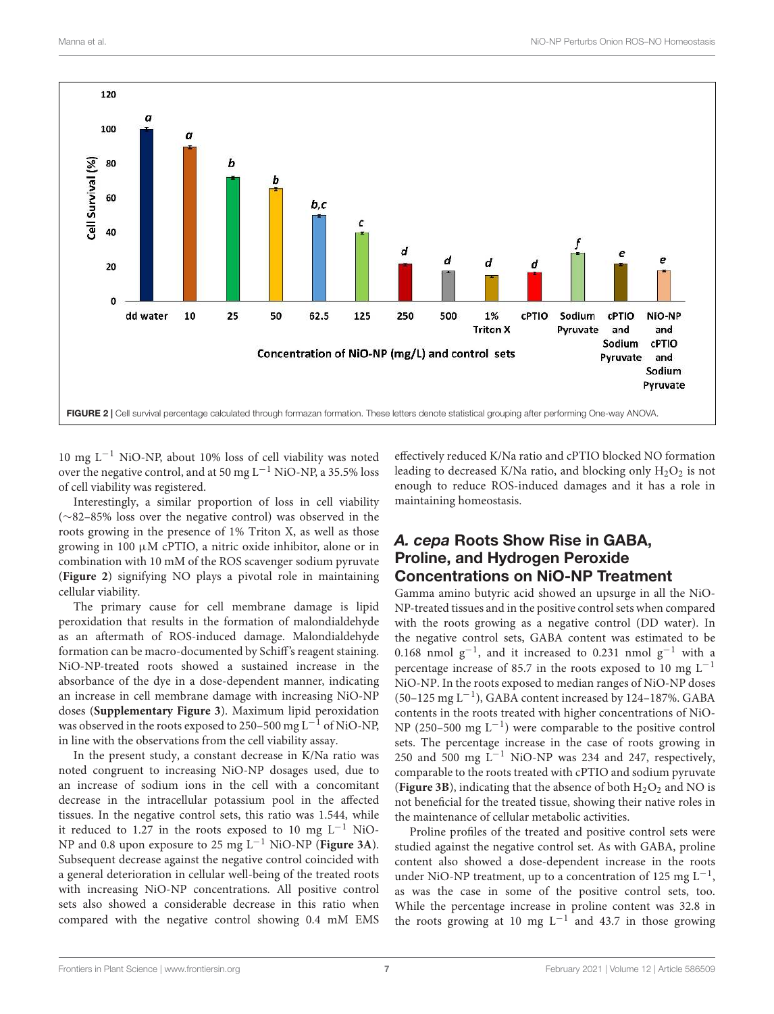

10 mg L−<sup>1</sup> NiO-NP, about 10% loss of cell viability was noted over the negative control, and at 50 mg  $L^{-1}$  NiO-NP, a 35.5% loss of cell viability was registered.

Interestingly, a similar proportion of loss in cell viability (∼82–85% loss over the negative control) was observed in the roots growing in the presence of 1% Triton X, as well as those growing in 100  $\mu$ M cPTIO, a nitric oxide inhibitor, alone or in combination with 10 mM of the ROS scavenger sodium pyruvate (**Figure 2**) signifying NO plays a pivotal role in maintaining cellular viability.

The primary cause for cell membrane damage is lipid peroxidation that results in the formation of malondialdehyde as an aftermath of ROS-induced damage. Malondialdehyde formation can be macro-documented by Schiff's reagent staining. NiO-NP-treated roots showed a sustained increase in the absorbance of the dye in a dose-dependent manner, indicating an increase in cell membrane damage with increasing NiO-NP doses (**Supplementary Figure 3**). Maximum lipid peroxidation was observed in the roots exposed to 250–500 mg L<sup>-1</sup> of NiO-NP, in line with the observations from the cell viability assay.

In the present study, a constant decrease in K/Na ratio was noted congruent to increasing NiO-NP dosages used, due to an increase of sodium ions in the cell with a concomitant decrease in the intracellular potassium pool in the affected tissues. In the negative control sets, this ratio was 1.544, while it reduced to 1.27 in the roots exposed to 10 mg  $L^{-1}$  NiO-NP and 0.8 upon exposure to 25 mg L−<sup>1</sup> NiO-NP (**Figure 3A**). Subsequent decrease against the negative control coincided with a general deterioration in cellular well-being of the treated roots with increasing NiO-NP concentrations. All positive control sets also showed a considerable decrease in this ratio when compared with the negative control showing 0.4 mM EMS

effectively reduced K/Na ratio and cPTIO blocked NO formation leading to decreased K/Na ratio, and blocking only  $H_2O_2$  is not enough to reduce ROS-induced damages and it has a role in maintaining homeostasis.

## *A. cepa* Roots Show Rise in GABA, Proline, and Hydrogen Peroxide Concentrations on NiO-NP Treatment

Gamma amino butyric acid showed an upsurge in all the NiO-NP-treated tissues and in the positive control sets when compared with the roots growing as a negative control (DD water). In the negative control sets, GABA content was estimated to be 0.168 nmol  $g^{-1}$ , and it increased to 0.231 nmol  $g^{-1}$  with a percentage increase of 85.7 in the roots exposed to 10 mg  $L^{-1}$ NiO-NP. In the roots exposed to median ranges of NiO-NP doses (50–125 mg L−<sup>1</sup> ), GABA content increased by 124–187%. GABA contents in the roots treated with higher concentrations of NiO-NP (250–500 mg L−<sup>1</sup> ) were comparable to the positive control sets. The percentage increase in the case of roots growing in 250 and 500 mg L−<sup>1</sup> NiO-NP was 234 and 247, respectively, comparable to the roots treated with cPTIO and sodium pyruvate (**Figure 3B**), indicating that the absence of both  $H_2O_2$  and NO is not beneficial for the treated tissue, showing their native roles in the maintenance of cellular metabolic activities.

Proline profiles of the treated and positive control sets were studied against the negative control set. As with GABA, proline content also showed a dose-dependent increase in the roots under NiO-NP treatment, up to a concentration of 125 mg  $L^{-1}$ , as was the case in some of the positive control sets, too. While the percentage increase in proline content was 32.8 in the roots growing at 10 mg  $L^{-1}$  and 43.7 in those growing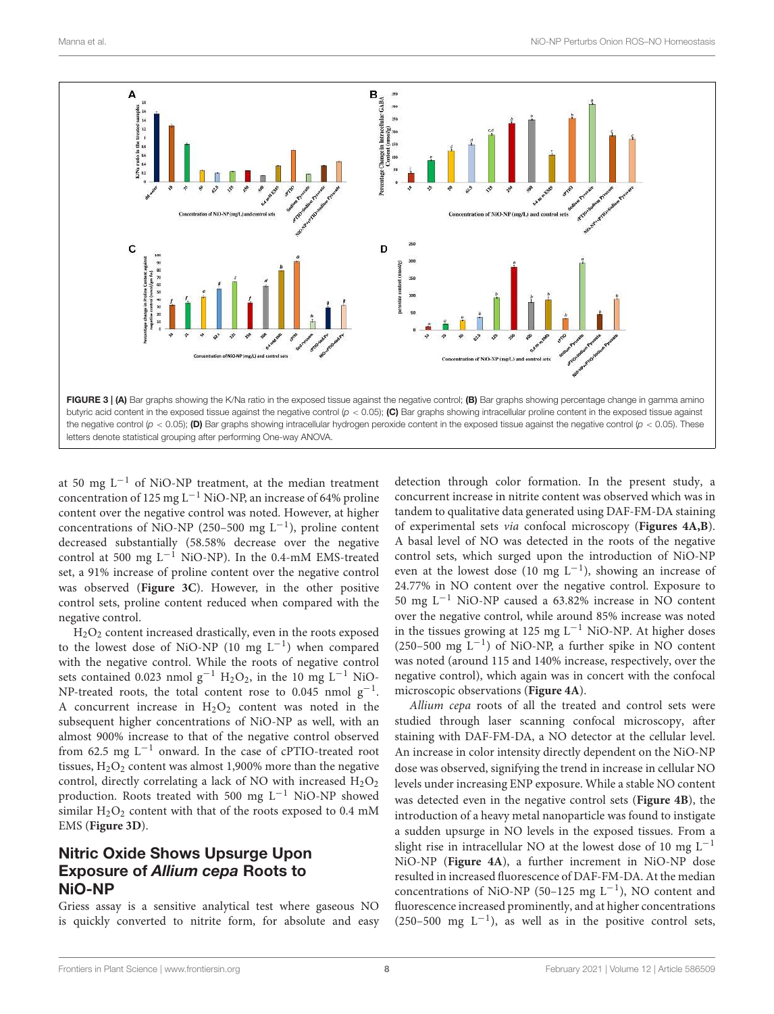

at 50 mg  $L^{-1}$  of NiO-NP treatment, at the median treatment concentration of 125 mg L<sup>-1</sup> NiO-NP, an increase of 64% proline content over the negative control was noted. However, at higher concentrations of NiO-NP (250–500 mg  $L^{-1}$ ), proline content decreased substantially (58.58% decrease over the negative control at 500 mg  $L^{-1}$  NiO-NP). In the 0.4-mM EMS-treated set, a 91% increase of proline content over the negative control was observed (**Figure 3C**). However, in the other positive control sets, proline content reduced when compared with the negative control.

H2O<sup>2</sup> content increased drastically, even in the roots exposed to the lowest dose of NiO-NP (10 mg  $L^{-1}$ ) when compared with the negative control. While the roots of negative control sets contained 0.023 nmol g<sup>-1</sup> H<sub>2</sub>O<sub>2</sub>, in the 10 mg L<sup>-1</sup> NiO-NP-treated roots, the total content rose to  $0.045$  nmol  $g^{-1}$ . A concurrent increase in  $H_2O_2$  content was noted in the subsequent higher concentrations of NiO-NP as well, with an almost 900% increase to that of the negative control observed from 62.5 mg L−<sup>1</sup> onward. In the case of cPTIO-treated root tissues,  $H_2O_2$  content was almost 1,900% more than the negative control, directly correlating a lack of NO with increased  $H_2O_2$ production. Roots treated with 500 mg  $L^{-1}$  NiO-NP showed similar  $H_2O_2$  content with that of the roots exposed to 0.4 mM EMS (**Figure 3D**).

# Nitric Oxide Shows Upsurge Upon Exposure of *Allium cepa* Roots to NiO-NP

Griess assay is a sensitive analytical test where gaseous NO is quickly converted to nitrite form, for absolute and easy detection through color formation. In the present study, a concurrent increase in nitrite content was observed which was in tandem to qualitative data generated using DAF-FM-DA staining of experimental sets via confocal microscopy (**Figures 4A,B**). A basal level of NO was detected in the roots of the negative control sets, which surged upon the introduction of NiO-NP even at the lowest dose (10 mg  $L^{-1}$ ), showing an increase of 24.77% in NO content over the negative control. Exposure to 50 mg L−<sup>1</sup> NiO-NP caused a 63.82% increase in NO content over the negative control, while around 85% increase was noted in the tissues growing at 125 mg  $L^{-1}$  NiO-NP. At higher doses (250–500 mg L−<sup>1</sup> ) of NiO-NP, a further spike in NO content was noted (around 115 and 140% increase, respectively, over the negative control), which again was in concert with the confocal microscopic observations (**Figure 4A**).

Allium cepa roots of all the treated and control sets were studied through laser scanning confocal microscopy, after staining with DAF-FM-DA, a NO detector at the cellular level. An increase in color intensity directly dependent on the NiO-NP dose was observed, signifying the trend in increase in cellular NO levels under increasing ENP exposure. While a stable NO content was detected even in the negative control sets (**Figure 4B**), the introduction of a heavy metal nanoparticle was found to instigate a sudden upsurge in NO levels in the exposed tissues. From a slight rise in intracellular NO at the lowest dose of 10 mg  $L^{-1}$ NiO-NP (**Figure 4A**), a further increment in NiO-NP dose resulted in increased fluorescence of DAF-FM-DA. At the median concentrations of NiO-NP (50–125 mg  $L^{-1}$ ), NO content and fluorescence increased prominently, and at higher concentrations (250–500 mg  $L^{-1}$ ), as well as in the positive control sets,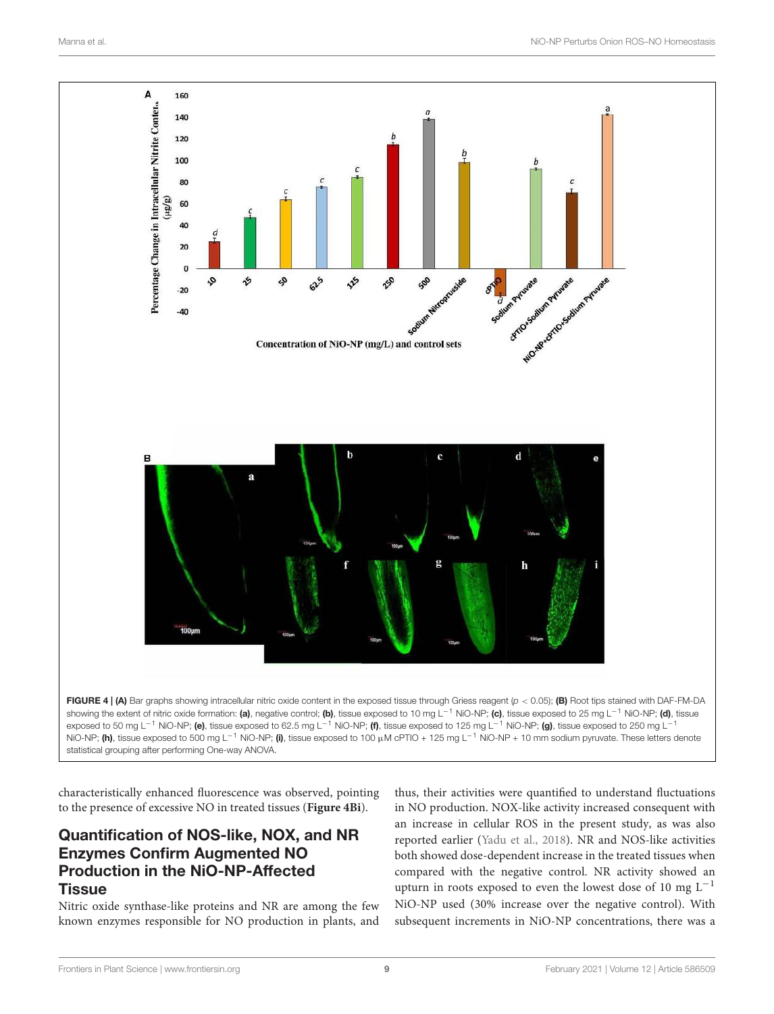

characteristically enhanced fluorescence was observed, pointing to the presence of excessive NO in treated tissues (**Figure 4Bi**).

# Quantification of NOS-like, NOX, and NR Enzymes Confirm Augmented NO Production in the NiO-NP-Affected **Tissue**

Nitric oxide synthase-like proteins and NR are among the few known enzymes responsible for NO production in plants, and

thus, their activities were quantified to understand fluctuations in NO production. NOX-like activity increased consequent with an increase in cellular ROS in the present study, as was also reported earlier (Yadu et al., 2018). NR and NOS-like activities both showed dose-dependent increase in the treated tissues when compared with the negative control. NR activity showed an upturn in roots exposed to even the lowest dose of 10 mg  $L^{-1}$ NiO-NP used (30% increase over the negative control). With subsequent increments in NiO-NP concentrations, there was a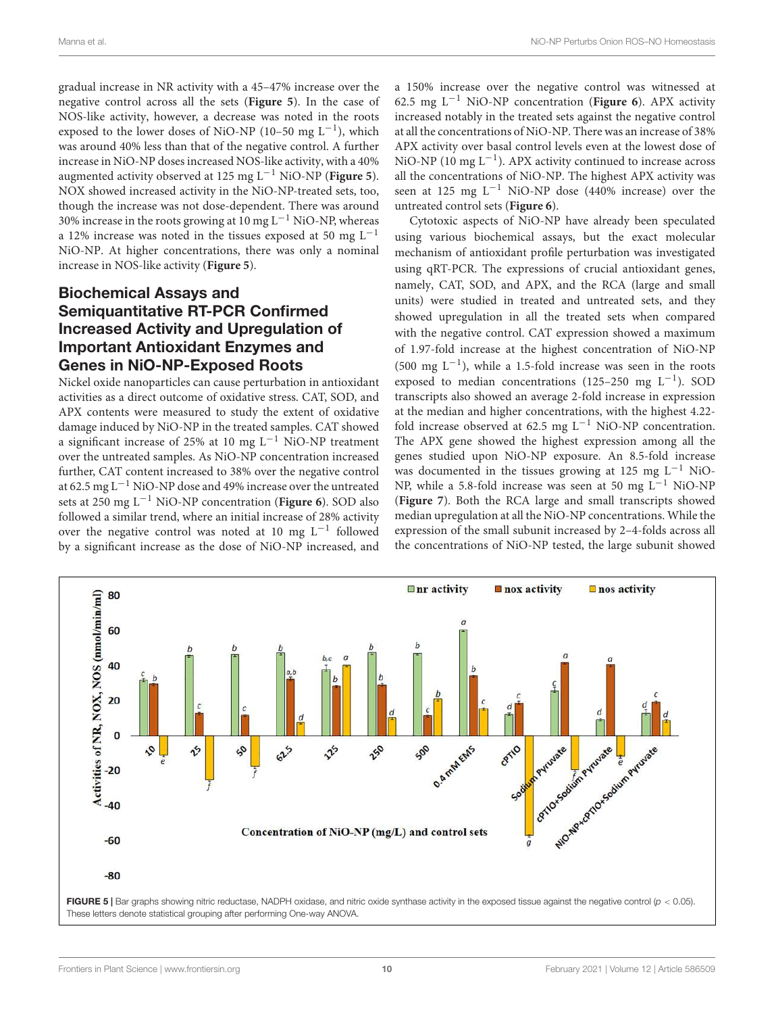gradual increase in NR activity with a 45–47% increase over the negative control across all the sets (**Figure 5**). In the case of NOS-like activity, however, a decrease was noted in the roots exposed to the lower doses of NiO-NP (10-50 mg  $L^{-1}$ ), which was around 40% less than that of the negative control. A further increase in NiO-NP doses increased NOS-like activity, with a 40% augmented activity observed at 125 mg L−<sup>1</sup> NiO-NP (**Figure 5**). NOX showed increased activity in the NiO-NP-treated sets, too, though the increase was not dose-dependent. There was around 30% increase in the roots growing at 10 mg L−<sup>1</sup> NiO-NP, whereas a 12% increase was noted in the tissues exposed at 50 mg  $L^{-1}$ NiO-NP. At higher concentrations, there was only a nominal increase in NOS-like activity (**Figure 5**).

### Biochemical Assays and Semiquantitative RT-PCR Confirmed Increased Activity and Upregulation of Important Antioxidant Enzymes and Genes in NiO-NP-Exposed Roots

Nickel oxide nanoparticles can cause perturbation in antioxidant activities as a direct outcome of oxidative stress. CAT, SOD, and APX contents were measured to study the extent of oxidative damage induced by NiO-NP in the treated samples. CAT showed a significant increase of 25% at 10 mg  $L^{-1}$  NiO-NP treatment over the untreated samples. As NiO-NP concentration increased further, CAT content increased to 38% over the negative control at 62.5 mg L−<sup>1</sup> NiO-NP dose and 49% increase over the untreated sets at 250 mg L−<sup>1</sup> NiO-NP concentration (**Figure 6**). SOD also followed a similar trend, where an initial increase of 28% activity over the negative control was noted at 10 mg L−<sup>1</sup> followed by a significant increase as the dose of NiO-NP increased, and a 150% increase over the negative control was witnessed at 62.5 mg L−<sup>1</sup> NiO-NP concentration (**Figure 6**). APX activity increased notably in the treated sets against the negative control at all the concentrations of NiO-NP. There was an increase of 38% APX activity over basal control levels even at the lowest dose of NiO-NP (10 mg  $L^{-1}$ ). APX activity continued to increase across all the concentrations of NiO-NP. The highest APX activity was seen at 125 mg  $L^{-1}$  NiO-NP dose (440% increase) over the untreated control sets (**Figure 6**).

Cytotoxic aspects of NiO-NP have already been speculated using various biochemical assays, but the exact molecular mechanism of antioxidant profile perturbation was investigated using qRT-PCR. The expressions of crucial antioxidant genes, namely, CAT, SOD, and APX, and the RCA (large and small units) were studied in treated and untreated sets, and they showed upregulation in all the treated sets when compared with the negative control. CAT expression showed a maximum of 1.97-fold increase at the highest concentration of NiO-NP (500 mg  $L^{-1}$ ), while a 1.5-fold increase was seen in the roots exposed to median concentrations (125-250 mg  $L^{-1}$ ). SOD transcripts also showed an average 2-fold increase in expression at the median and higher concentrations, with the highest 4.22 fold increase observed at 62.5 mg  $L^{-1}$  NiO-NP concentration. The APX gene showed the highest expression among all the genes studied upon NiO-NP exposure. An 8.5-fold increase was documented in the tissues growing at 125 mg L−<sup>1</sup> NiO-NP, while a 5.8-fold increase was seen at 50 mg L<sup>-1</sup> NiO-NP (**Figure 7**). Both the RCA large and small transcripts showed median upregulation at all the NiO-NP concentrations. While the expression of the small subunit increased by 2–4-folds across all the concentrations of NiO-NP tested, the large subunit showed

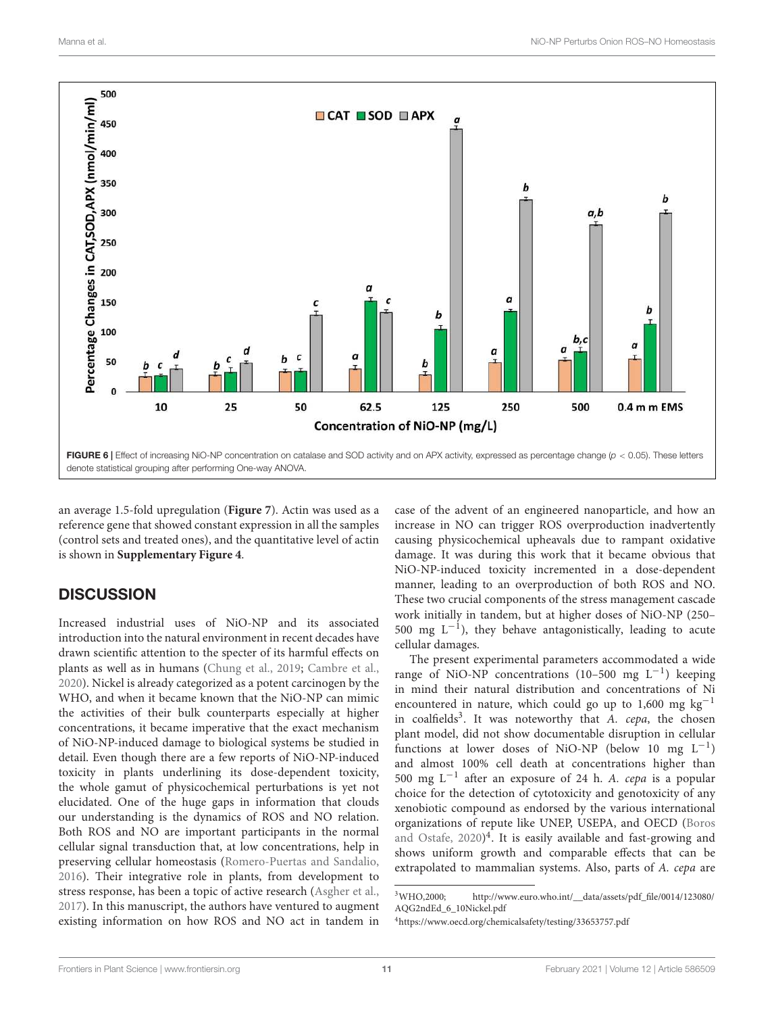

an average 1.5-fold upregulation (**Figure 7**). Actin was used as a reference gene that showed constant expression in all the samples (control sets and treated ones), and the quantitative level of actin is shown in **Supplementary Figure 4**.

## **DISCUSSION**

Increased industrial uses of NiO-NP and its associated introduction into the natural environment in recent decades have drawn scientific attention to the specter of its harmful effects on plants as well as in humans (Chung et al., 2019; Cambre et al., 2020). Nickel is already categorized as a potent carcinogen by the WHO, and when it became known that the NiO-NP can mimic the activities of their bulk counterparts especially at higher concentrations, it became imperative that the exact mechanism of NiO-NP-induced damage to biological systems be studied in detail. Even though there are a few reports of NiO-NP-induced toxicity in plants underlining its dose-dependent toxicity, the whole gamut of physicochemical perturbations is yet not elucidated. One of the huge gaps in information that clouds our understanding is the dynamics of ROS and NO relation. Both ROS and NO are important participants in the normal cellular signal transduction that, at low concentrations, help in preserving cellular homeostasis (Romero-Puertas and Sandalio, 2016). Their integrative role in plants, from development to stress response, has been a topic of active research (Asgher et al., 2017). In this manuscript, the authors have ventured to augment existing information on how ROS and NO act in tandem in

case of the advent of an engineered nanoparticle, and how an increase in NO can trigger ROS overproduction inadvertently causing physicochemical upheavals due to rampant oxidative damage. It was during this work that it became obvious that NiO-NP-induced toxicity incremented in a dose-dependent manner, leading to an overproduction of both ROS and NO. These two crucial components of the stress management cascade work initially in tandem, but at higher doses of NiO-NP (250– 500 mg  $L^{-1}$ ), they behave antagonistically, leading to acute cellular damages.

The present experimental parameters accommodated a wide range of NiO-NP concentrations (10–500 mg L−<sup>1</sup> ) keeping in mind their natural distribution and concentrations of Ni encountered in nature, which could go up to 1,600 mg  $kg^{-1}$ in coalfields<sup>3</sup>. It was noteworthy that A. cepa, the chosen plant model, did not show documentable disruption in cellular functions at lower doses of NiO-NP (below 10 mg L−<sup>1</sup> ) and almost 100% cell death at concentrations higher than 500 mg L−<sup>1</sup> after an exposure of 24 h. A. cepa is a popular choice for the detection of cytotoxicity and genotoxicity of any xenobiotic compound as endorsed by the various international organizations of repute like UNEP, USEPA, and OECD (Boros and Ostafe, 2020)<sup>4</sup>. It is easily available and fast-growing and shows uniform growth and comparable effects that can be extrapolated to mammalian systems. Also, parts of A. cepa are

<sup>3</sup>WHO,2000; http://www.euro.who.int/\_\_data/assets/pdf\_file/0014/123080/ AQG2ndEd\_6\_10Nickel.pdf

<sup>4</sup>https://www.oecd.org/chemicalsafety/testing/33653757.pdf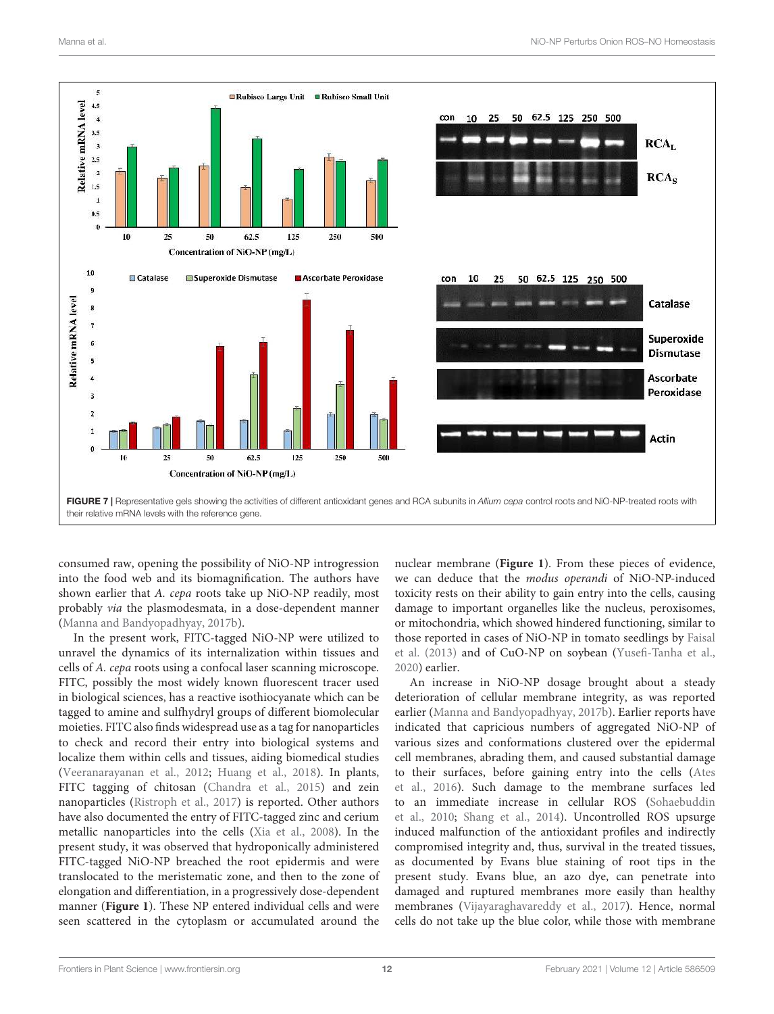

consumed raw, opening the possibility of NiO-NP introgression into the food web and its biomagnification. The authors have shown earlier that A. cepa roots take up NiO-NP readily, most probably via the plasmodesmata, in a dose-dependent manner (Manna and Bandyopadhyay, 2017b).

In the present work, FITC-tagged NiO-NP were utilized to unravel the dynamics of its internalization within tissues and cells of A. cepa roots using a confocal laser scanning microscope. FITC, possibly the most widely known fluorescent tracer used in biological sciences, has a reactive isothiocyanate which can be tagged to amine and sulfhydryl groups of different biomolecular moieties. FITC also finds widespread use as a tag for nanoparticles to check and record their entry into biological systems and localize them within cells and tissues, aiding biomedical studies (Veeranarayanan et al., 2012; Huang et al., 2018). In plants, FITC tagging of chitosan (Chandra et al., 2015) and zein nanoparticles (Ristroph et al., 2017) is reported. Other authors have also documented the entry of FITC-tagged zinc and cerium metallic nanoparticles into the cells (Xia et al., 2008). In the present study, it was observed that hydroponically administered FITC-tagged NiO-NP breached the root epidermis and were translocated to the meristematic zone, and then to the zone of elongation and differentiation, in a progressively dose-dependent manner (**Figure 1**). These NP entered individual cells and were seen scattered in the cytoplasm or accumulated around the nuclear membrane (**Figure 1**). From these pieces of evidence, we can deduce that the modus operandi of NiO-NP-induced toxicity rests on their ability to gain entry into the cells, causing damage to important organelles like the nucleus, peroxisomes, or mitochondria, which showed hindered functioning, similar to those reported in cases of NiO-NP in tomato seedlings by Faisal et al. (2013) and of CuO-NP on soybean (Yusefi-Tanha et al., 2020) earlier.

An increase in NiO-NP dosage brought about a steady deterioration of cellular membrane integrity, as was reported earlier (Manna and Bandyopadhyay, 2017b). Earlier reports have indicated that capricious numbers of aggregated NiO-NP of various sizes and conformations clustered over the epidermal cell membranes, abrading them, and caused substantial damage to their surfaces, before gaining entry into the cells (Ates et al., 2016). Such damage to the membrane surfaces led to an immediate increase in cellular ROS (Sohaebuddin et al., 2010; Shang et al., 2014). Uncontrolled ROS upsurge induced malfunction of the antioxidant profiles and indirectly compromised integrity and, thus, survival in the treated tissues, as documented by Evans blue staining of root tips in the present study. Evans blue, an azo dye, can penetrate into damaged and ruptured membranes more easily than healthy membranes (Vijayaraghavareddy et al., 2017). Hence, normal cells do not take up the blue color, while those with membrane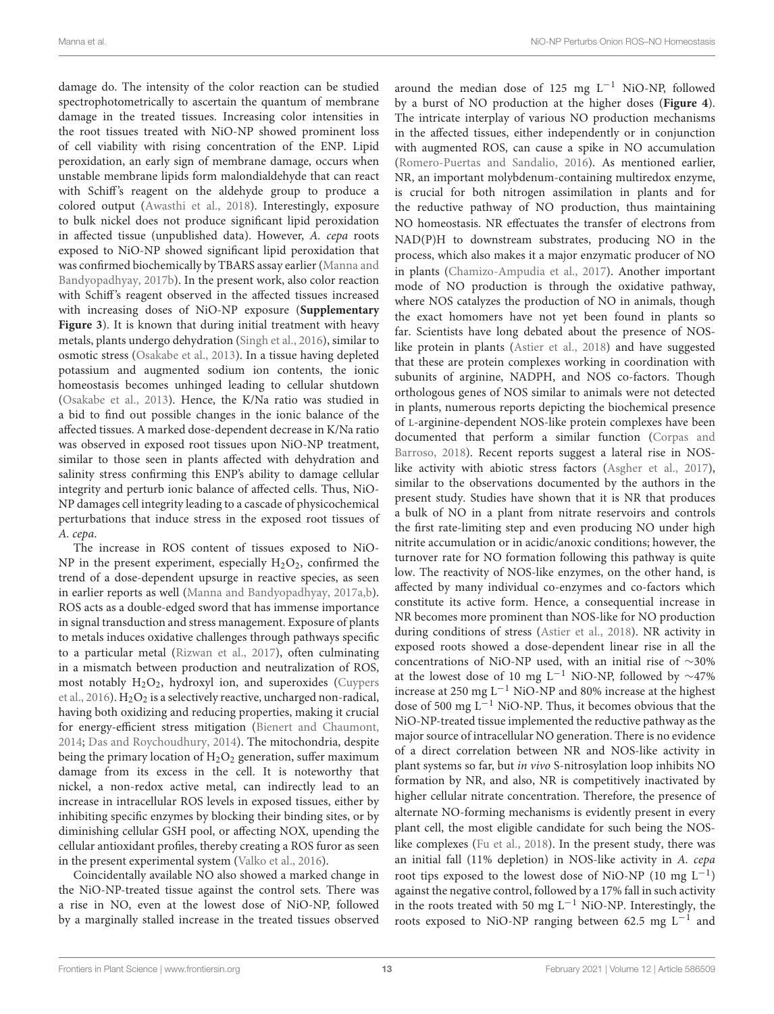damage do. The intensity of the color reaction can be studied spectrophotometrically to ascertain the quantum of membrane damage in the treated tissues. Increasing color intensities in the root tissues treated with NiO-NP showed prominent loss of cell viability with rising concentration of the ENP. Lipid peroxidation, an early sign of membrane damage, occurs when unstable membrane lipids form malondialdehyde that can react with Schiff's reagent on the aldehyde group to produce a colored output (Awasthi et al., 2018). Interestingly, exposure to bulk nickel does not produce significant lipid peroxidation in affected tissue (unpublished data). However, A. cepa roots exposed to NiO-NP showed significant lipid peroxidation that was confirmed biochemically by TBARS assay earlier (Manna and Bandyopadhyay, 2017b). In the present work, also color reaction with Schiff's reagent observed in the affected tissues increased with increasing doses of NiO-NP exposure (**Supplementary Figure 3**). It is known that during initial treatment with heavy metals, plants undergo dehydration (Singh et al., 2016), similar to osmotic stress (Osakabe et al., 2013). In a tissue having depleted potassium and augmented sodium ion contents, the ionic homeostasis becomes unhinged leading to cellular shutdown (Osakabe et al., 2013). Hence, the K/Na ratio was studied in a bid to find out possible changes in the ionic balance of the affected tissues. A marked dose-dependent decrease in K/Na ratio was observed in exposed root tissues upon NiO-NP treatment, similar to those seen in plants affected with dehydration and salinity stress confirming this ENP's ability to damage cellular integrity and perturb ionic balance of affected cells. Thus, NiO-NP damages cell integrity leading to a cascade of physicochemical perturbations that induce stress in the exposed root tissues of A. cepa.

The increase in ROS content of tissues exposed to NiO-NP in the present experiment, especially  $H_2O_2$ , confirmed the trend of a dose-dependent upsurge in reactive species, as seen in earlier reports as well (Manna and Bandyopadhyay, 2017a,b). ROS acts as a double-edged sword that has immense importance in signal transduction and stress management. Exposure of plants to metals induces oxidative challenges through pathways specific to a particular metal (Rizwan et al., 2017), often culminating in a mismatch between production and neutralization of ROS, most notably  $H_2O_2$ , hydroxyl ion, and superoxides (Cuypers et al., 2016).  $H_2O_2$  is a selectively reactive, uncharged non-radical, having both oxidizing and reducing properties, making it crucial for energy-efficient stress mitigation (Bienert and Chaumont, 2014; Das and Roychoudhury, 2014). The mitochondria, despite being the primary location of  $H_2O_2$  generation, suffer maximum damage from its excess in the cell. It is noteworthy that nickel, a non-redox active metal, can indirectly lead to an increase in intracellular ROS levels in exposed tissues, either by inhibiting specific enzymes by blocking their binding sites, or by diminishing cellular GSH pool, or affecting NOX, upending the cellular antioxidant profiles, thereby creating a ROS furor as seen in the present experimental system (Valko et al., 2016).

Coincidentally available NO also showed a marked change in the NiO-NP-treated tissue against the control sets. There was a rise in NO, even at the lowest dose of NiO-NP, followed by a marginally stalled increase in the treated tissues observed

around the median dose of 125 mg  $L^{-1}$  NiO-NP, followed by a burst of NO production at the higher doses (**Figure 4**). The intricate interplay of various NO production mechanisms in the affected tissues, either independently or in conjunction with augmented ROS, can cause a spike in NO accumulation (Romero-Puertas and Sandalio, 2016). As mentioned earlier, NR, an important molybdenum-containing multiredox enzyme, is crucial for both nitrogen assimilation in plants and for the reductive pathway of NO production, thus maintaining NO homeostasis. NR effectuates the transfer of electrons from NAD(P)H to downstream substrates, producing NO in the process, which also makes it a major enzymatic producer of NO in plants (Chamizo-Ampudia et al., 2017). Another important mode of NO production is through the oxidative pathway, where NOS catalyzes the production of NO in animals, though the exact homomers have not yet been found in plants so far. Scientists have long debated about the presence of NOSlike protein in plants (Astier et al., 2018) and have suggested that these are protein complexes working in coordination with subunits of arginine, NADPH, and NOS co-factors. Though orthologous genes of NOS similar to animals were not detected in plants, numerous reports depicting the biochemical presence of L-arginine-dependent NOS-like protein complexes have been documented that perform a similar function (Corpas and Barroso, 2018). Recent reports suggest a lateral rise in NOSlike activity with abiotic stress factors (Asgher et al., 2017), similar to the observations documented by the authors in the present study. Studies have shown that it is NR that produces a bulk of NO in a plant from nitrate reservoirs and controls the first rate-limiting step and even producing NO under high nitrite accumulation or in acidic/anoxic conditions; however, the turnover rate for NO formation following this pathway is quite low. The reactivity of NOS-like enzymes, on the other hand, is affected by many individual co-enzymes and co-factors which constitute its active form. Hence, a consequential increase in NR becomes more prominent than NOS-like for NO production during conditions of stress (Astier et al., 2018). NR activity in exposed roots showed a dose-dependent linear rise in all the concentrations of NiO-NP used, with an initial rise of ∼30% at the lowest dose of 10 mg L<sup>-1</sup> NiO-NP, followed by  $\sim$ 47% increase at 250 mg  $L^{-1}$  NiO-NP and 80% increase at the highest dose of 500 mg  $L^{-1}$  NiO-NP. Thus, it becomes obvious that the NiO-NP-treated tissue implemented the reductive pathway as the major source of intracellular NO generation. There is no evidence of a direct correlation between NR and NOS-like activity in plant systems so far, but in vivo S-nitrosylation loop inhibits NO formation by NR, and also, NR is competitively inactivated by higher cellular nitrate concentration. Therefore, the presence of alternate NO-forming mechanisms is evidently present in every plant cell, the most eligible candidate for such being the NOSlike complexes (Fu et al., 2018). In the present study, there was an initial fall (11% depletion) in NOS-like activity in A. cepa root tips exposed to the lowest dose of NiO-NP (10 mg  $L^{-1}$ ) against the negative control, followed by a 17% fall in such activity in the roots treated with 50 mg  $L^{-1}$  NiO-NP. Interestingly, the roots exposed to NiO-NP ranging between 62.5 mg  $L^{-1}$  and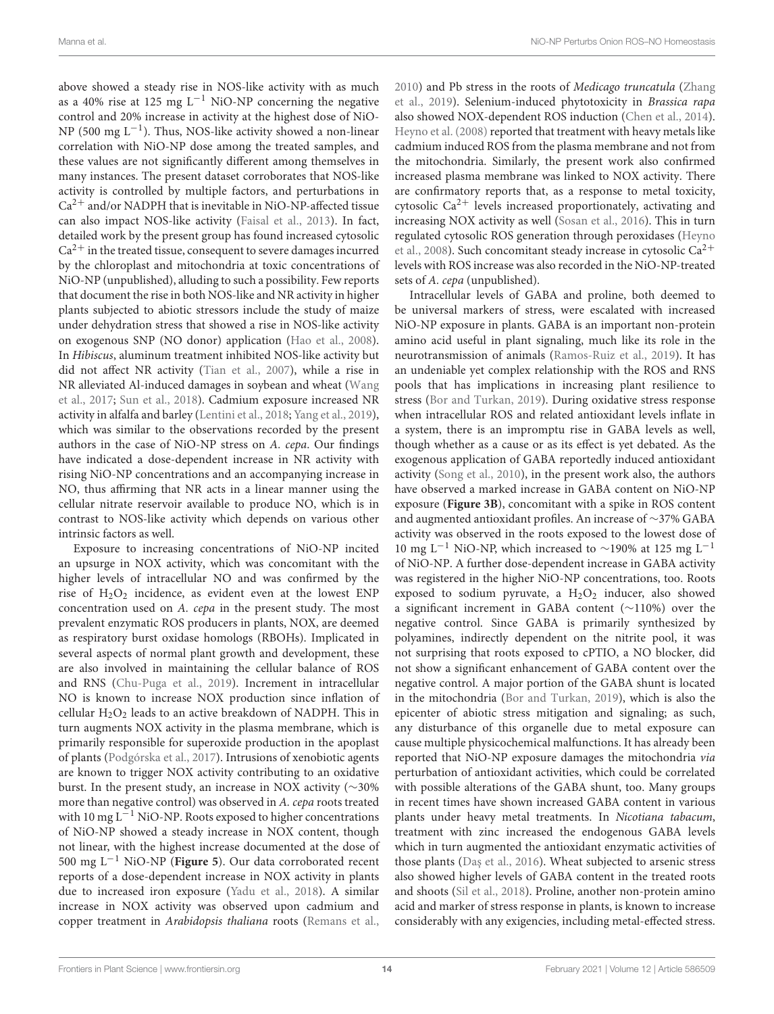above showed a steady rise in NOS-like activity with as much as a 40% rise at 125 mg  $L^{-1}$  NiO-NP concerning the negative control and 20% increase in activity at the highest dose of NiO-NP (500 mg L<sup>-1</sup>). Thus, NOS-like activity showed a non-linear correlation with NiO-NP dose among the treated samples, and these values are not significantly different among themselves in many instances. The present dataset corroborates that NOS-like activity is controlled by multiple factors, and perturbations in  $Ca<sup>2+</sup>$  and/or NADPH that is inevitable in NiO-NP-affected tissue can also impact NOS-like activity (Faisal et al., 2013). In fact, detailed work by the present group has found increased cytosolic  $Ca<sup>2+</sup>$  in the treated tissue, consequent to severe damages incurred by the chloroplast and mitochondria at toxic concentrations of NiO-NP (unpublished), alluding to such a possibility. Few reports that document the rise in both NOS-like and NR activity in higher plants subjected to abiotic stressors include the study of maize under dehydration stress that showed a rise in NOS-like activity on exogenous SNP (NO donor) application (Hao et al., 2008). In Hibiscus, aluminum treatment inhibited NOS-like activity but did not affect NR activity (Tian et al., 2007), while a rise in NR alleviated Al-induced damages in soybean and wheat (Wang et al., 2017; Sun et al., 2018). Cadmium exposure increased NR activity in alfalfa and barley (Lentini et al., 2018; Yang et al., 2019), which was similar to the observations recorded by the present authors in the case of NiO-NP stress on A. cepa. Our findings have indicated a dose-dependent increase in NR activity with rising NiO-NP concentrations and an accompanying increase in NO, thus affirming that NR acts in a linear manner using the cellular nitrate reservoir available to produce NO, which is in contrast to NOS-like activity which depends on various other intrinsic factors as well.

Exposure to increasing concentrations of NiO-NP incited an upsurge in NOX activity, which was concomitant with the higher levels of intracellular NO and was confirmed by the rise of  $H_2O_2$  incidence, as evident even at the lowest ENP concentration used on A. cepa in the present study. The most prevalent enzymatic ROS producers in plants, NOX, are deemed as respiratory burst oxidase homologs (RBOHs). Implicated in several aspects of normal plant growth and development, these are also involved in maintaining the cellular balance of ROS and RNS (Chu-Puga et al., 2019). Increment in intracellular NO is known to increase NOX production since inflation of cellular  $H_2O_2$  leads to an active breakdown of NADPH. This in turn augments NOX activity in the plasma membrane, which is primarily responsible for superoxide production in the apoplast of plants (Podgórska et al., 2017). Intrusions of xenobiotic agents are known to trigger NOX activity contributing to an oxidative burst. In the present study, an increase in NOX activity (∼30% more than negative control) was observed in A. cepa roots treated with 10 mg  $L^{-1}$  NiO-NP. Roots exposed to higher concentrations of NiO-NP showed a steady increase in NOX content, though not linear, with the highest increase documented at the dose of 500 mg L−<sup>1</sup> NiO-NP (**Figure 5**). Our data corroborated recent reports of a dose-dependent increase in NOX activity in plants due to increased iron exposure (Yadu et al., 2018). A similar increase in NOX activity was observed upon cadmium and copper treatment in Arabidopsis thaliana roots (Remans et al.,

2010) and Pb stress in the roots of Medicago truncatula (Zhang et al., 2019). Selenium-induced phytotoxicity in Brassica rapa also showed NOX-dependent ROS induction (Chen et al., 2014). Heyno et al. (2008) reported that treatment with heavy metals like cadmium induced ROS from the plasma membrane and not from the mitochondria. Similarly, the present work also confirmed increased plasma membrane was linked to NOX activity. There are confirmatory reports that, as a response to metal toxicity, cytosolic  $Ca^{2+}$  levels increased proportionately, activating and increasing NOX activity as well (Sosan et al., 2016). This in turn regulated cytosolic ROS generation through peroxidases (Heyno et al., 2008). Such concomitant steady increase in cytosolic  $Ca^{2+}$ levels with ROS increase was also recorded in the NiO-NP-treated sets of A. cepa (unpublished).

Intracellular levels of GABA and proline, both deemed to be universal markers of stress, were escalated with increased NiO-NP exposure in plants. GABA is an important non-protein amino acid useful in plant signaling, much like its role in the neurotransmission of animals (Ramos-Ruiz et al., 2019). It has an undeniable yet complex relationship with the ROS and RNS pools that has implications in increasing plant resilience to stress (Bor and Turkan, 2019). During oxidative stress response when intracellular ROS and related antioxidant levels inflate in a system, there is an impromptu rise in GABA levels as well, though whether as a cause or as its effect is yet debated. As the exogenous application of GABA reportedly induced antioxidant activity (Song et al., 2010), in the present work also, the authors have observed a marked increase in GABA content on NiO-NP exposure (**Figure 3B**), concomitant with a spike in ROS content and augmented antioxidant profiles. An increase of ∼37% GABA activity was observed in the roots exposed to the lowest dose of 10 mg L<sup>-1</sup> NiO-NP, which increased to ~190% at 125 mg L<sup>-1</sup> of NiO-NP. A further dose-dependent increase in GABA activity was registered in the higher NiO-NP concentrations, too. Roots exposed to sodium pyruvate, a  $H_2O_2$  inducer, also showed a significant increment in GABA content (∼110%) over the negative control. Since GABA is primarily synthesized by polyamines, indirectly dependent on the nitrite pool, it was not surprising that roots exposed to cPTIO, a NO blocker, did not show a significant enhancement of GABA content over the negative control. A major portion of the GABA shunt is located in the mitochondria (Bor and Turkan, 2019), which is also the epicenter of abiotic stress mitigation and signaling; as such, any disturbance of this organelle due to metal exposure can cause multiple physicochemical malfunctions. It has already been reported that NiO-NP exposure damages the mitochondria via perturbation of antioxidant activities, which could be correlated with possible alterations of the GABA shunt, too. Many groups in recent times have shown increased GABA content in various plants under heavy metal treatments. In Nicotiana tabacum, treatment with zinc increased the endogenous GABA levels which in turn augmented the antioxidant enzymatic activities of those plants (Daş et al., 2016). Wheat subjected to arsenic stress also showed higher levels of GABA content in the treated roots and shoots (Sil et al., 2018). Proline, another non-protein amino acid and marker of stress response in plants, is known to increase considerably with any exigencies, including metal-effected stress.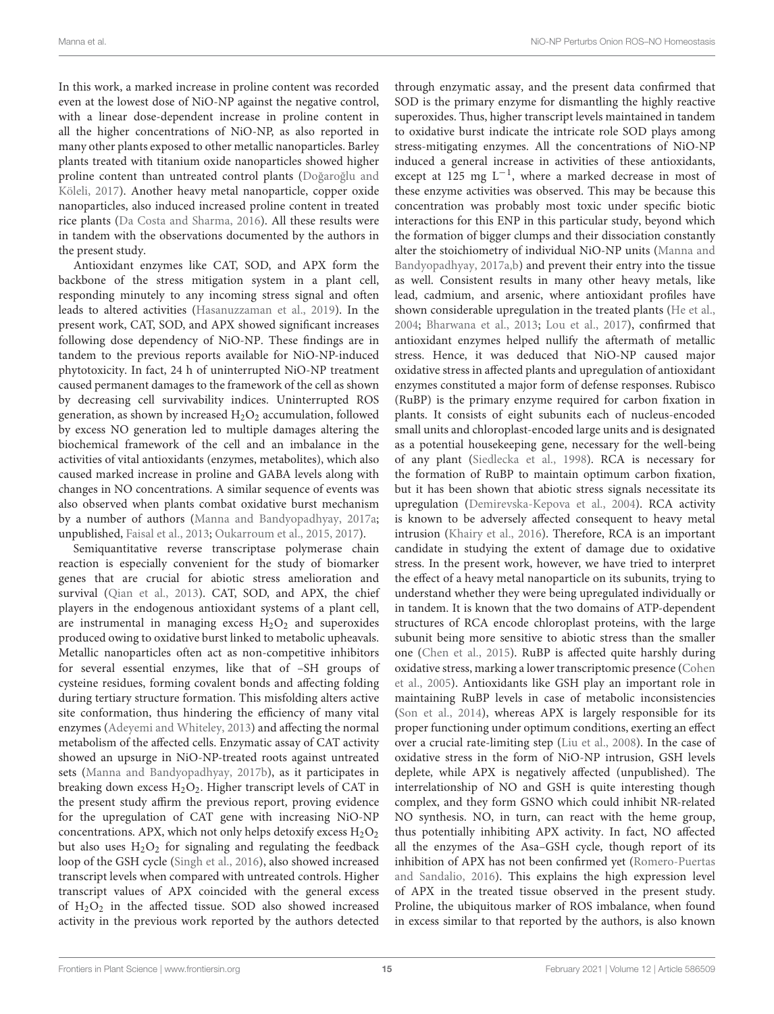In this work, a marked increase in proline content was recorded even at the lowest dose of NiO-NP against the negative control, with a linear dose-dependent increase in proline content in all the higher concentrations of NiO-NP, as also reported in many other plants exposed to other metallic nanoparticles. Barley plants treated with titanium oxide nanoparticles showed higher proline content than untreated control plants (Doğaroğlu and Köleli, 2017). Another heavy metal nanoparticle, copper oxide nanoparticles, also induced increased proline content in treated rice plants (Da Costa and Sharma, 2016). All these results were in tandem with the observations documented by the authors in the present study.

Antioxidant enzymes like CAT, SOD, and APX form the backbone of the stress mitigation system in a plant cell, responding minutely to any incoming stress signal and often leads to altered activities (Hasanuzzaman et al., 2019). In the present work, CAT, SOD, and APX showed significant increases following dose dependency of NiO-NP. These findings are in tandem to the previous reports available for NiO-NP-induced phytotoxicity. In fact, 24 h of uninterrupted NiO-NP treatment caused permanent damages to the framework of the cell as shown by decreasing cell survivability indices. Uninterrupted ROS generation, as shown by increased  $H_2O_2$  accumulation, followed by excess NO generation led to multiple damages altering the biochemical framework of the cell and an imbalance in the activities of vital antioxidants (enzymes, metabolites), which also caused marked increase in proline and GABA levels along with changes in NO concentrations. A similar sequence of events was also observed when plants combat oxidative burst mechanism by a number of authors (Manna and Bandyopadhyay, 2017a; unpublished, Faisal et al., 2013; Oukarroum et al., 2015, 2017).

Semiquantitative reverse transcriptase polymerase chain reaction is especially convenient for the study of biomarker genes that are crucial for abiotic stress amelioration and survival (Qian et al., 2013). CAT, SOD, and APX, the chief players in the endogenous antioxidant systems of a plant cell, are instrumental in managing excess  $H_2O_2$  and superoxides produced owing to oxidative burst linked to metabolic upheavals. Metallic nanoparticles often act as non-competitive inhibitors for several essential enzymes, like that of –SH groups of cysteine residues, forming covalent bonds and affecting folding during tertiary structure formation. This misfolding alters active site conformation, thus hindering the efficiency of many vital enzymes (Adeyemi and Whiteley, 2013) and affecting the normal metabolism of the affected cells. Enzymatic assay of CAT activity showed an upsurge in NiO-NP-treated roots against untreated sets (Manna and Bandyopadhyay, 2017b), as it participates in breaking down excess  $H_2O_2$ . Higher transcript levels of CAT in the present study affirm the previous report, proving evidence for the upregulation of CAT gene with increasing NiO-NP concentrations. APX, which not only helps detoxify excess  $H_2O_2$ but also uses  $H_2O_2$  for signaling and regulating the feedback loop of the GSH cycle (Singh et al., 2016), also showed increased transcript levels when compared with untreated controls. Higher transcript values of APX coincided with the general excess of  $H<sub>2</sub>O<sub>2</sub>$  in the affected tissue. SOD also showed increased activity in the previous work reported by the authors detected

through enzymatic assay, and the present data confirmed that SOD is the primary enzyme for dismantling the highly reactive superoxides. Thus, higher transcript levels maintained in tandem to oxidative burst indicate the intricate role SOD plays among stress-mitigating enzymes. All the concentrations of NiO-NP induced a general increase in activities of these antioxidants, except at 125 mg  $L^{-1}$ , where a marked decrease in most of these enzyme activities was observed. This may be because this concentration was probably most toxic under specific biotic interactions for this ENP in this particular study, beyond which the formation of bigger clumps and their dissociation constantly alter the stoichiometry of individual NiO-NP units (Manna and Bandyopadhyay, 2017a,b) and prevent their entry into the tissue as well. Consistent results in many other heavy metals, like lead, cadmium, and arsenic, where antioxidant profiles have shown considerable upregulation in the treated plants (He et al., 2004; Bharwana et al., 2013; Lou et al., 2017), confirmed that antioxidant enzymes helped nullify the aftermath of metallic stress. Hence, it was deduced that NiO-NP caused major oxidative stress in affected plants and upregulation of antioxidant enzymes constituted a major form of defense responses. Rubisco (RuBP) is the primary enzyme required for carbon fixation in plants. It consists of eight subunits each of nucleus-encoded small units and chloroplast-encoded large units and is designated as a potential housekeeping gene, necessary for the well-being of any plant (Siedlecka et al., 1998). RCA is necessary for the formation of RuBP to maintain optimum carbon fixation, but it has been shown that abiotic stress signals necessitate its upregulation (Demirevska-Kepova et al., 2004). RCA activity is known to be adversely affected consequent to heavy metal intrusion (Khairy et al., 2016). Therefore, RCA is an important candidate in studying the extent of damage due to oxidative stress. In the present work, however, we have tried to interpret the effect of a heavy metal nanoparticle on its subunits, trying to understand whether they were being upregulated individually or in tandem. It is known that the two domains of ATP-dependent structures of RCA encode chloroplast proteins, with the large subunit being more sensitive to abiotic stress than the smaller one (Chen et al., 2015). RuBP is affected quite harshly during oxidative stress, marking a lower transcriptomic presence (Cohen et al., 2005). Antioxidants like GSH play an important role in maintaining RuBP levels in case of metabolic inconsistencies (Son et al., 2014), whereas APX is largely responsible for its proper functioning under optimum conditions, exerting an effect over a crucial rate-limiting step (Liu et al., 2008). In the case of oxidative stress in the form of NiO-NP intrusion, GSH levels deplete, while APX is negatively affected (unpublished). The interrelationship of NO and GSH is quite interesting though complex, and they form GSNO which could inhibit NR-related NO synthesis. NO, in turn, can react with the heme group, thus potentially inhibiting APX activity. In fact, NO affected all the enzymes of the Asa–GSH cycle, though report of its inhibition of APX has not been confirmed yet (Romero-Puertas and Sandalio, 2016). This explains the high expression level of APX in the treated tissue observed in the present study. Proline, the ubiquitous marker of ROS imbalance, when found in excess similar to that reported by the authors, is also known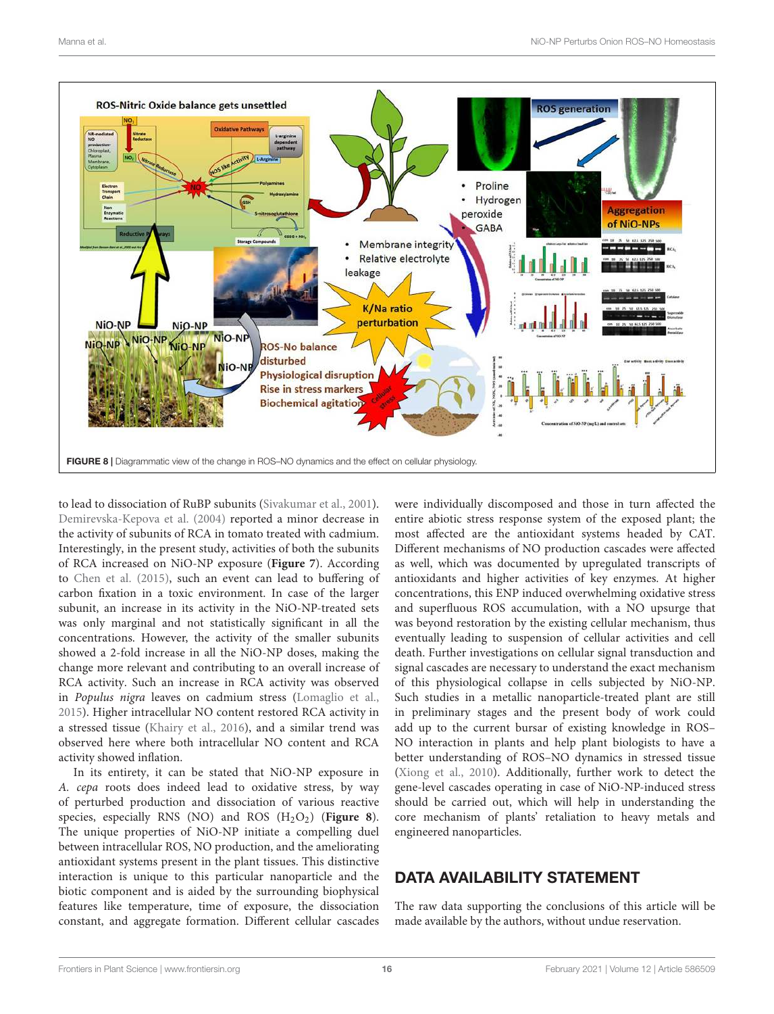

to lead to dissociation of RuBP subunits (Sivakumar et al., 2001). Demirevska-Kepova et al. (2004) reported a minor decrease in the activity of subunits of RCA in tomato treated with cadmium. Interestingly, in the present study, activities of both the subunits of RCA increased on NiO-NP exposure (**Figure 7**). According to Chen et al. (2015), such an event can lead to buffering of carbon fixation in a toxic environment. In case of the larger subunit, an increase in its activity in the NiO-NP-treated sets was only marginal and not statistically significant in all the concentrations. However, the activity of the smaller subunits showed a 2-fold increase in all the NiO-NP doses, making the change more relevant and contributing to an overall increase of RCA activity. Such an increase in RCA activity was observed in Populus nigra leaves on cadmium stress (Lomaglio et al., 2015). Higher intracellular NO content restored RCA activity in a stressed tissue (Khairy et al., 2016), and a similar trend was observed here where both intracellular NO content and RCA activity showed inflation.

In its entirety, it can be stated that NiO-NP exposure in A. cepa roots does indeed lead to oxidative stress, by way of perturbed production and dissociation of various reactive species, especially RNS (NO) and ROS (H<sub>2</sub>O<sub>2</sub>) (**Figure 8**). The unique properties of NiO-NP initiate a compelling duel between intracellular ROS, NO production, and the ameliorating antioxidant systems present in the plant tissues. This distinctive interaction is unique to this particular nanoparticle and the biotic component and is aided by the surrounding biophysical features like temperature, time of exposure, the dissociation constant, and aggregate formation. Different cellular cascades

were individually discomposed and those in turn affected the entire abiotic stress response system of the exposed plant; the most affected are the antioxidant systems headed by CAT. Different mechanisms of NO production cascades were affected as well, which was documented by upregulated transcripts of antioxidants and higher activities of key enzymes. At higher concentrations, this ENP induced overwhelming oxidative stress and superfluous ROS accumulation, with a NO upsurge that was beyond restoration by the existing cellular mechanism, thus eventually leading to suspension of cellular activities and cell death. Further investigations on cellular signal transduction and signal cascades are necessary to understand the exact mechanism of this physiological collapse in cells subjected by NiO-NP. Such studies in a metallic nanoparticle-treated plant are still in preliminary stages and the present body of work could add up to the current bursar of existing knowledge in ROS– NO interaction in plants and help plant biologists to have a better understanding of ROS–NO dynamics in stressed tissue (Xiong et al., 2010). Additionally, further work to detect the gene-level cascades operating in case of NiO-NP-induced stress should be carried out, which will help in understanding the core mechanism of plants' retaliation to heavy metals and engineered nanoparticles.

## DATA AVAILABILITY STATEMENT

The raw data supporting the conclusions of this article will be made available by the authors, without undue reservation.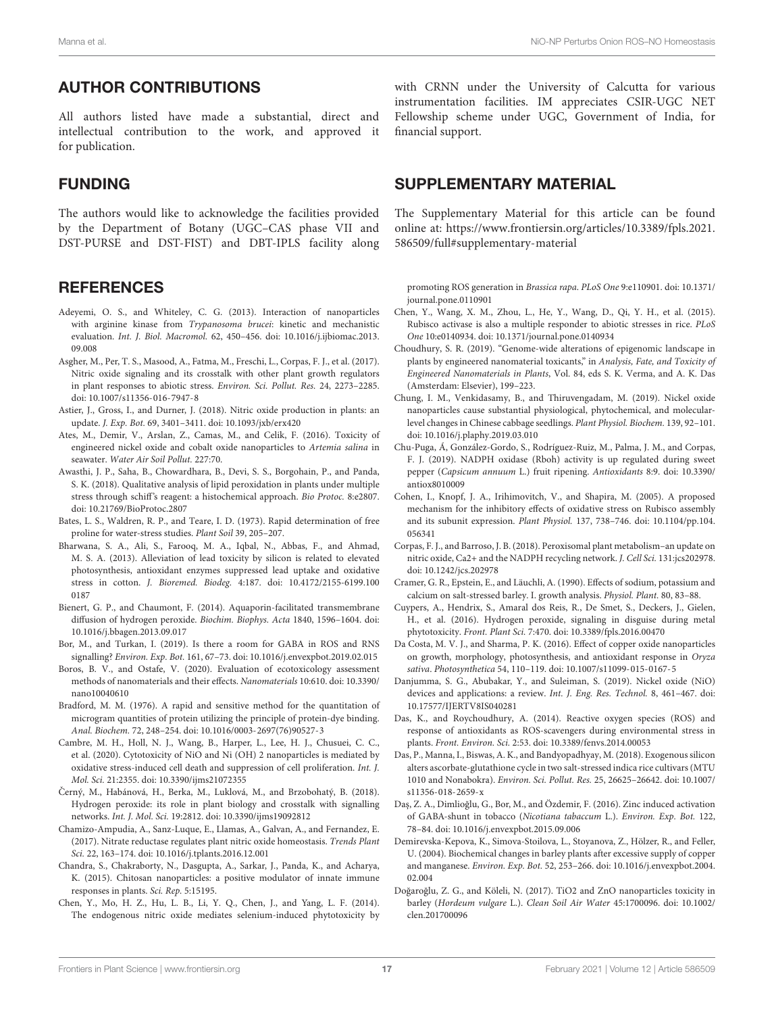#### AUTHOR CONTRIBUTIONS

All authors listed have made a substantial, direct and intellectual contribution to the work, and approved it for publication.

#### FUNDING

The authors would like to acknowledge the facilities provided by the Department of Botany (UGC–CAS phase VII and DST-PURSE and DST-FIST) and DBT-IPLS facility along

#### **REFERENCES**

- Adeyemi, O. S., and Whiteley, C. G. (2013). Interaction of nanoparticles with arginine kinase from Trypanosoma brucei: kinetic and mechanistic evaluation. Int. J. Biol. Macromol. 62, 450–456. doi: 10.1016/j.ijbiomac.2013. 09.008
- Asgher, M., Per, T. S., Masood, A., Fatma, M., Freschi, L., Corpas, F. J., et al. (2017). Nitric oxide signaling and its crosstalk with other plant growth regulators in plant responses to abiotic stress. Environ. Sci. Pollut. Res. 24, 2273–2285. doi: 10.1007/s11356-016-7947-8
- Astier, J., Gross, I., and Durner, J. (2018). Nitric oxide production in plants: an update. J. Exp. Bot. 69, 3401–3411. doi: 10.1093/jxb/erx420
- Ates, M., Demir, V., Arslan, Z., Camas, M., and Celik, F. (2016). Toxicity of engineered nickel oxide and cobalt oxide nanoparticles to Artemia salina in seawater. Water Air Soil Pollut. 227:70.
- Awasthi, J. P., Saha, B., Chowardhara, B., Devi, S. S., Borgohain, P., and Panda, S. K. (2018). Qualitative analysis of lipid peroxidation in plants under multiple stress through schiff's reagent: a histochemical approach. Bio Protoc. 8:e2807. doi: 10.21769/BioProtoc.2807
- Bates, L. S., Waldren, R. P., and Teare, I. D. (1973). Rapid determination of free proline for water-stress studies. Plant Soil 39, 205–207.
- Bharwana, S. A., Ali, S., Farooq, M. A., Iqbal, N., Abbas, F., and Ahmad, M. S. A. (2013). Alleviation of lead toxicity by silicon is related to elevated photosynthesis, antioxidant enzymes suppressed lead uptake and oxidative stress in cotton. J. Bioremed. Biodeg. 4:187. doi: 10.4172/2155-6199.100 0187
- Bienert, G. P., and Chaumont, F. (2014). Aquaporin-facilitated transmembrane diffusion of hydrogen peroxide. Biochim. Biophys. Acta 1840, 1596–1604. doi: 10.1016/j.bbagen.2013.09.017
- Bor, M., and Turkan, I. (2019). Is there a room for GABA in ROS and RNS signalling? Environ. Exp. Bot. 161, 67–73. doi: 10.1016/j.envexpbot.2019.02.015
- Boros, B. V., and Ostafe, V. (2020). Evaluation of ecotoxicology assessment methods of nanomaterials and their effects. Nanomaterials 10:610. doi: 10.3390/ nano10040610
- Bradford, M. M. (1976). A rapid and sensitive method for the quantitation of microgram quantities of protein utilizing the principle of protein-dye binding. Anal. Biochem. 72, 248–254. doi: 10.1016/0003-2697(76)90527-3
- Cambre, M. H., Holl, N. J., Wang, B., Harper, L., Lee, H. J., Chusuei, C. C., et al. (2020). Cytotoxicity of NiO and Ni (OH) 2 nanoparticles is mediated by oxidative stress-induced cell death and suppression of cell proliferation. Int. J. Mol. Sci. 21:2355. doi: 10.3390/ijms21072355
- Černý, M., Habánová, H., Berka, M., Luklová, M., and Brzobohatý, B. (2018). Hydrogen peroxide: its role in plant biology and crosstalk with signalling networks. Int. J. Mol. Sci. 19:2812. doi: 10.3390/ijms19092812
- Chamizo-Ampudia, A., Sanz-Luque, E., Llamas, A., Galvan, A., and Fernandez, E. (2017). Nitrate reductase regulates plant nitric oxide homeostasis. Trends Plant Sci. 22, 163–174. doi: 10.1016/j.tplants.2016.12.001
- Chandra, S., Chakraborty, N., Dasgupta, A., Sarkar, J., Panda, K., and Acharya, K. (2015). Chitosan nanoparticles: a positive modulator of innate immune responses in plants. Sci. Rep. 5:15195.
- Chen, Y., Mo, H. Z., Hu, L. B., Li, Y. Q., Chen, J., and Yang, L. F. (2014). The endogenous nitric oxide mediates selenium-induced phytotoxicity by

with CRNN under the University of Calcutta for various instrumentation facilities. IM appreciates CSIR-UGC NET Fellowship scheme under UGC, Government of India, for financial support.

#### SUPPLEMENTARY MATERIAL

The Supplementary Material for this article can be found online at: https://www.frontiersin.org/articles/10.3389/fpls.2021. 586509/full#supplementary-material

promoting ROS generation in Brassica rapa. PLoS One 9:e110901. doi: 10.1371/ journal.pone.0110901

- Chen, Y., Wang, X. M., Zhou, L., He, Y., Wang, D., Qi, Y. H., et al. (2015). Rubisco activase is also a multiple responder to abiotic stresses in rice. PLoS One 10:e0140934. doi: 10.1371/journal.pone.0140934
- Choudhury, S. R. (2019). "Genome-wide alterations of epigenomic landscape in plants by engineered nanomaterial toxicants," in Analysis, Fate, and Toxicity of Engineered Nanomaterials in Plants, Vol. 84, eds S. K. Verma, and A. K. Das (Amsterdam: Elsevier), 199–223.
- Chung, I. M., Venkidasamy, B., and Thiruvengadam, M. (2019). Nickel oxide nanoparticles cause substantial physiological, phytochemical, and molecularlevel changes in Chinese cabbage seedlings. Plant Physiol. Biochem. 139, 92–101. doi: 10.1016/j.plaphy.2019.03.010
- Chu-Puga, Á, González-Gordo, S., Rodríguez-Ruiz, M., Palma, J. M., and Corpas, F. J. (2019). NADPH oxidase (Rboh) activity is up regulated during sweet pepper (Capsicum annuum L.) fruit ripening. Antioxidants 8:9. doi: 10.3390/ antiox8010009
- Cohen, I., Knopf, J. A., Irihimovitch, V., and Shapira, M. (2005). A proposed mechanism for the inhibitory effects of oxidative stress on Rubisco assembly and its subunit expression. Plant Physiol. 137, 738–746. doi: 10.1104/pp.104. 056341
- Corpas, F. J., and Barroso, J. B. (2018). Peroxisomal plant metabolism–an update on nitric oxide, Ca2+ and the NADPH recycling network. J. Cell Sci. 131:jcs202978. doi: 10.1242/jcs.202978
- Cramer, G. R., Epstein, E., and Läuchli, A. (1990). Effects of sodium, potassium and calcium on salt-stressed barley. I. growth analysis. Physiol. Plant. 80, 83–88.
- Cuypers, A., Hendrix, S., Amaral dos Reis, R., De Smet, S., Deckers, J., Gielen, H., et al. (2016). Hydrogen peroxide, signaling in disguise during metal phytotoxicity. Front. Plant Sci. 7:470. doi: 10.3389/fpls.2016.00470
- Da Costa, M. V. J., and Sharma, P. K. (2016). Effect of copper oxide nanoparticles on growth, morphology, photosynthesis, and antioxidant response in Oryza sativa. Photosynthetica 54, 110–119. doi: 10.1007/s11099-015-0167-5
- Danjumma, S. G., Abubakar, Y., and Suleiman, S. (2019). Nickel oxide (NiO) devices and applications: a review. Int. J. Eng. Res. Technol. 8, 461–467. doi: 10.17577/IJERTV8IS040281
- Das, K., and Roychoudhury, A. (2014). Reactive oxygen species (ROS) and response of antioxidants as ROS-scavengers during environmental stress in plants. Front. Environ. Sci. 2:53. doi: 10.3389/fenvs.2014.00053
- Das, P., Manna, I., Biswas, A. K., and Bandyopadhyay, M. (2018). Exogenous silicon alters ascorbate-glutathione cycle in two salt-stressed indica rice cultivars (MTU 1010 and Nonabokra). Environ. Sci. Pollut. Res. 25, 26625–26642. doi: 10.1007/ s11356-018-2659-x
- Daş, Z. A., Dimlioğlu, G., Bor, M., and Özdemir, F. (2016). Zinc induced activation of GABA-shunt in tobacco (Nicotiana tabaccum L.). Environ. Exp. Bot. 122, 78–84. doi: 10.1016/j.envexpbot.2015.09.006
- Demirevska-Kepova, K., Simova-Stoilova, L., Stoyanova, Z., Hölzer, R., and Feller, U. (2004). Biochemical changes in barley plants after excessive supply of copper and manganese. Environ. Exp. Bot. 52, 253–266. doi: 10.1016/j.envexpbot.2004. 02.004
- Doğaroğlu, Z. G., and Köleli, N. (2017). TiO2 and ZnO nanoparticles toxicity in barley (Hordeum vulgare L.). Clean Soil Air Water 45:1700096. doi: 10.1002/ clen.201700096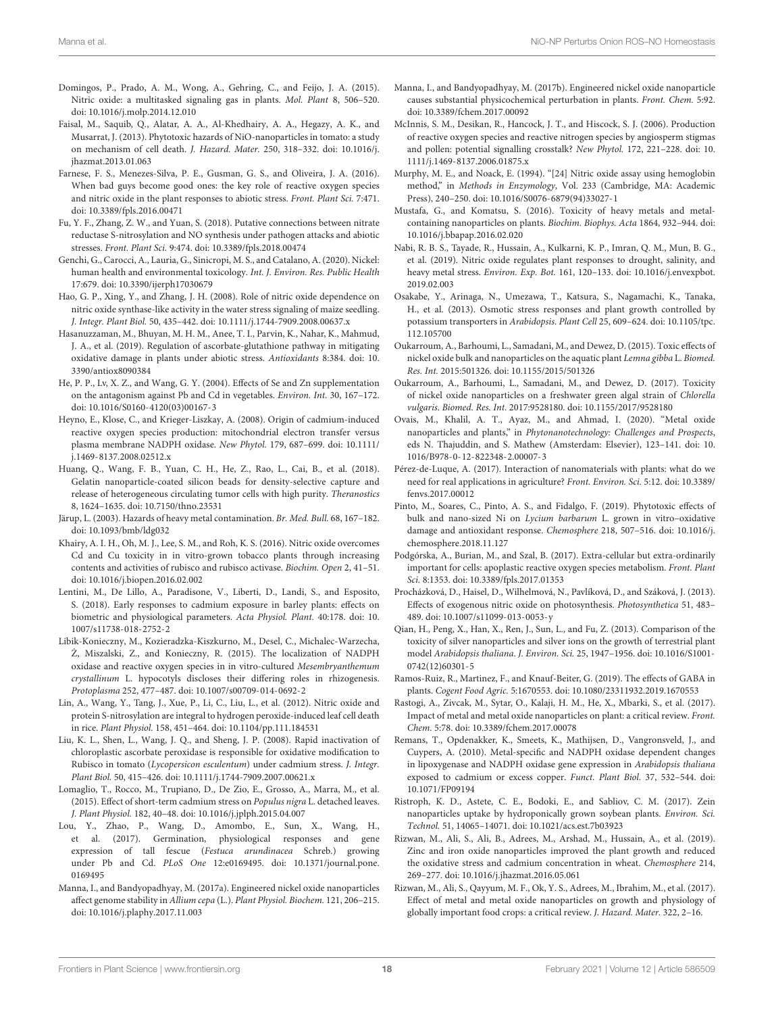- Domingos, P., Prado, A. M., Wong, A., Gehring, C., and Feijo, J. A. (2015). Nitric oxide: a multitasked signaling gas in plants. Mol. Plant 8, 506–520. doi: 10.1016/j.molp.2014.12.010
- Faisal, M., Saquib, Q., Alatar, A. A., Al-Khedhairy, A. A., Hegazy, A. K., and Musarrat, J. (2013). Phytotoxic hazards of NiO-nanoparticles in tomato: a study on mechanism of cell death. J. Hazard. Mater. 250, 318–332. doi: 10.1016/j. jhazmat.2013.01.063
- Farnese, F. S., Menezes-Silva, P. E., Gusman, G. S., and Oliveira, J. A. (2016). When bad guys become good ones: the key role of reactive oxygen species and nitric oxide in the plant responses to abiotic stress. Front. Plant Sci. 7:471. doi: 10.3389/fpls.2016.00471
- Fu, Y. F., Zhang, Z. W., and Yuan, S. (2018). Putative connections between nitrate reductase S-nitrosylation and NO synthesis under pathogen attacks and abiotic stresses. Front. Plant Sci. 9:474. doi: 10.3389/fpls.2018.00474
- Genchi, G., Carocci, A., Lauria, G., Sinicropi, M. S., and Catalano, A. (2020). Nickel: human health and environmental toxicology. Int. J. Environ. Res. Public Health 17:679. doi: 10.3390/ijerph17030679
- Hao, G. P., Xing, Y., and Zhang, J. H. (2008). Role of nitric oxide dependence on nitric oxide synthase-like activity in the water stress signaling of maize seedling. J. Integr. Plant Biol. 50, 435–442. doi: 10.1111/j.1744-7909.2008.00637.x
- Hasanuzzaman, M., Bhuyan, M. H. M., Anee, T. I., Parvin, K., Nahar, K., Mahmud, J. A., et al. (2019). Regulation of ascorbate-glutathione pathway in mitigating oxidative damage in plants under abiotic stress. Antioxidants 8:384. doi: 10. 3390/antiox8090384
- He, P. P., Lv, X. Z., and Wang, G. Y. (2004). Effects of Se and Zn supplementation on the antagonism against Pb and Cd in vegetables. Environ. Int. 30, 167–172. doi: 10.1016/S0160-4120(03)00167-3
- Heyno, E., Klose, C., and Krieger-Liszkay, A. (2008). Origin of cadmium-induced reactive oxygen species production: mitochondrial electron transfer versus plasma membrane NADPH oxidase. New Phytol. 179, 687–699. doi: 10.1111/ j.1469-8137.2008.02512.x
- Huang, Q., Wang, F. B., Yuan, C. H., He, Z., Rao, L., Cai, B., et al. (2018). Gelatin nanoparticle-coated silicon beads for density-selective capture and release of heterogeneous circulating tumor cells with high purity. Theranostics 8, 1624–1635. doi: 10.7150/thno.23531
- Järup, L. (2003). Hazards of heavy metal contamination. Br. Med. Bull. 68, 167–182. doi: 10.1093/bmb/ldg032
- Khairy, A. I. H., Oh, M. J., Lee, S. M., and Roh, K. S. (2016). Nitric oxide overcomes Cd and Cu toxicity in in vitro-grown tobacco plants through increasing contents and activities of rubisco and rubisco activase. Biochim. Open 2, 41–51. doi: 10.1016/j.biopen.2016.02.002
- Lentini, M., De Lillo, A., Paradisone, V., Liberti, D., Landi, S., and Esposito, S. (2018). Early responses to cadmium exposure in barley plants: effects on biometric and physiological parameters. Acta Physiol. Plant. 40:178. doi: 10. 1007/s11738-018-2752-2
- Libik-Konieczny, M., Kozieradzka-Kiszkurno, M., Desel, C., Michalec-Warzecha, Ż, Miszalski, Z., and Konieczny, R. (2015). The localization of NADPH oxidase and reactive oxygen species in in vitro-cultured Mesembryanthemum crystallinum L. hypocotyls discloses their differing roles in rhizogenesis. Protoplasma 252, 477–487. doi: 10.1007/s00709-014-0692-2
- Lin, A., Wang, Y., Tang, J., Xue, P., Li, C., Liu, L., et al. (2012). Nitric oxide and protein S-nitrosylation are integral to hydrogen peroxide-induced leaf cell death in rice. Plant Physiol. 158, 451–464. doi: 10.1104/pp.111.184531
- Liu, K. L., Shen, L., Wang, J. Q., and Sheng, J. P. (2008). Rapid inactivation of chloroplastic ascorbate peroxidase is responsible for oxidative modification to Rubisco in tomato (Lycopersicon esculentum) under cadmium stress. J. Integr. Plant Biol. 50, 415–426. doi: 10.1111/j.1744-7909.2007.00621.x
- Lomaglio, T., Rocco, M., Trupiano, D., De Zio, E., Grosso, A., Marra, M., et al. (2015). Effect of short-term cadmium stress on Populus nigra L. detached leaves. J. Plant Physiol. 182, 40–48. doi: 10.1016/j.jplph.2015.04.007
- Lou, Y., Zhao, P., Wang, D., Amombo, E., Sun, X., Wang, H., et al. (2017). Germination, physiological responses and gene expression of tall fescue (Festuca arundinacea Schreb.) growing under Pb and Cd. PLoS One 12:e0169495. doi: 10.1371/journal.pone. 0169495
- Manna, I., and Bandyopadhyay, M. (2017a). Engineered nickel oxide nanoparticles affect genome stability in Allium cepa (L.). Plant Physiol. Biochem. 121, 206–215. doi: 10.1016/j.plaphy.2017.11.003
- Manna, I., and Bandyopadhyay, M. (2017b). Engineered nickel oxide nanoparticle causes substantial physicochemical perturbation in plants. Front. Chem. 5:92. doi: 10.3389/fchem.2017.00092
- McInnis, S. M., Desikan, R., Hancock, J. T., and Hiscock, S. J. (2006). Production of reactive oxygen species and reactive nitrogen species by angiosperm stigmas and pollen: potential signalling crosstalk? New Phytol. 172, 221–228. doi: 10. 1111/j.1469-8137.2006.01875.x
- Murphy, M. E., and Noack, E. (1994). "[24] Nitric oxide assay using hemoglobin method," in Methods in Enzymology, Vol. 233 (Cambridge, MA: Academic Press), 240–250. doi: 10.1016/S0076-6879(94)33027-1
- Mustafa, G., and Komatsu, S. (2016). Toxicity of heavy metals and metalcontaining nanoparticles on plants. Biochim. Biophys. Acta 1864, 932–944. doi: 10.1016/j.bbapap.2016.02.020
- Nabi, R. B. S., Tayade, R., Hussain, A., Kulkarni, K. P., Imran, Q. M., Mun, B. G., et al. (2019). Nitric oxide regulates plant responses to drought, salinity, and heavy metal stress. Environ. Exp. Bot. 161, 120–133. doi: 10.1016/j.envexpbot. 2019.02.003
- Osakabe, Y., Arinaga, N., Umezawa, T., Katsura, S., Nagamachi, K., Tanaka, H., et al. (2013). Osmotic stress responses and plant growth controlled by potassium transporters in Arabidopsis. Plant Cell 25, 609–624. doi: 10.1105/tpc. 112.105700
- Oukarroum, A., Barhoumi, L., Samadani, M., and Dewez, D. (2015). Toxic effects of nickel oxide bulk and nanoparticles on the aquatic plant Lemna gibba L. Biomed. Res. Int. 2015:501326. doi: 10.1155/2015/501326
- Oukarroum, A., Barhoumi, L., Samadani, M., and Dewez, D. (2017). Toxicity of nickel oxide nanoparticles on a freshwater green algal strain of Chlorella vulgaris. Biomed. Res. Int. 2017:9528180. doi: 10.1155/2017/9528180
- Ovais, M., Khalil, A. T., Ayaz, M., and Ahmad, I. (2020). "Metal oxide nanoparticles and plants," in Phytonanotechnology: Challenges and Prospects, eds N. Thajuddin, and S. Mathew (Amsterdam: Elsevier), 123–141. doi: 10. 1016/B978-0-12-822348-2.00007-3
- Pérez-de-Luque, A. (2017). Interaction of nanomaterials with plants: what do we need for real applications in agriculture? Front. Environ. Sci. 5:12. doi: 10.3389/ fenvs.2017.00012
- Pinto, M., Soares, C., Pinto, A. S., and Fidalgo, F. (2019). Phytotoxic effects of bulk and nano-sized Ni on Lycium barbarum L. grown in vitro–oxidative damage and antioxidant response. Chemosphere 218, 507–516. doi: 10.1016/j. chemosphere.2018.11.127
- Podgórska, A., Burian, M., and Szal, B. (2017). Extra-cellular but extra-ordinarily important for cells: apoplastic reactive oxygen species metabolism. Front. Plant Sci. 8:1353. doi: 10.3389/fpls.2017.01353
- Procházková, D., Haisel, D., Wilhelmová, N., Pavlíková, D., and Száková, J. (2013). Effects of exogenous nitric oxide on photosynthesis. Photosynthetica 51, 483– 489. doi: 10.1007/s11099-013-0053-y
- Qian, H., Peng, X., Han, X., Ren, J., Sun, L., and Fu, Z. (2013). Comparison of the toxicity of silver nanoparticles and silver ions on the growth of terrestrial plant model Arabidopsis thaliana. J. Environ. Sci. 25, 1947–1956. doi: 10.1016/S1001- 0742(12)60301-5
- Ramos-Ruiz, R., Martinez, F., and Knauf-Beiter, G. (2019). The effects of GABA in plants. Cogent Food Agric. 5:1670553. doi: 10.1080/23311932.2019.1670553
- Rastogi, A., Zivcak, M., Sytar, O., Kalaji, H. M., He, X., Mbarki, S., et al. (2017). Impact of metal and metal oxide nanoparticles on plant: a critical review. Front. Chem. 5:78. doi: 10.3389/fchem.2017.00078
- Remans, T., Opdenakker, K., Smeets, K., Mathijsen, D., Vangronsveld, J., and Cuypers, A. (2010). Metal-specific and NADPH oxidase dependent changes in lipoxygenase and NADPH oxidase gene expression in Arabidopsis thaliana exposed to cadmium or excess copper. Funct. Plant Biol. 37, 532–544. doi: 10.1071/FP09194
- Ristroph, K. D., Astete, C. E., Bodoki, E., and Sabliov, C. M. (2017). Zein nanoparticles uptake by hydroponically grown soybean plants. Environ. Sci. Technol. 51, 14065–14071. doi: 10.1021/acs.est.7b03923
- Rizwan, M., Ali, S., Ali, B., Adrees, M., Arshad, M., Hussain, A., et al. (2019). Zinc and iron oxide nanoparticles improved the plant growth and reduced the oxidative stress and cadmium concentration in wheat. Chemosphere 214, 269–277. doi: 10.1016/j.jhazmat.2016.05.061
- Rizwan, M., Ali, S., Qayyum, M. F., Ok, Y. S., Adrees, M., Ibrahim, M., et al. (2017). Effect of metal and metal oxide nanoparticles on growth and physiology of globally important food crops: a critical review. J. Hazard. Mater. 322, 2–16.